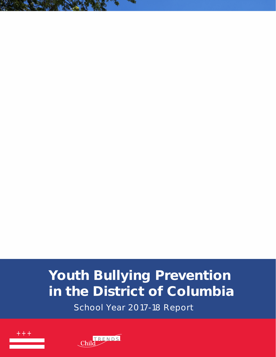# <span id="page-0-0"></span>**Acknowledgements**

This report was developed by Child Trends under contract with the DC Office of Human Rights. We would like to acknowledge the following staff who contributed to this report:

- Lead authors: Deborah Temkin (Child Trends) and Suzanne Greenfield (DC Office of Human Rights)
- Alexander Gabriel (Child Trends)
- Emily Fulks (Child Trends)
- Kristen Harper (Child Trends)
- Vera Zhou (Child Trends)

Child Trends Publication 2019-17

This report uses data collected as part of a project supported by Award No. 2015-CK-BX-0016, awarded by the National Institute of Justice, Office of Justice Programs, U.S. Department of Justice. The opinions, findings, and conclusions or recommendations expressed in this publication are those of the authors and do not necessarily reflect those of the U.S. Department of Justice.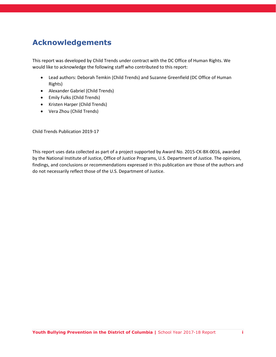## <span id="page-1-0"></span>**Letter from the Director of the Citywide Bullying Prevention Program**

#### **To: The Council of the District of Columbia**

In accordance with the requirements set forth in the Youth Bullying Prevention Act of 2012 (YBPA), I am pleased to submit this report on behalf of the Mayor and the Office of Human Rights. This report covers school year (SY) 2017-2018 and provides an overview of both the current level and nature of bullying in the District of Columbia as well as progress made since enactment of the YBPA.

The YBPA established the Mayor's Youth Bullying Prevention Task Force to provide resources and tools to support the District's youth-serving government agencies, schools, and government grantees to prevent and effectively respond to incidents of bullying. In May 2013, the Office of Human Rights hired a Director to oversee the implementation of the Act and support the Task Force. The Task Force was made up of representatives from District government, youth-serving organizations, community members, and others required by the YBPA, including a student, a teacher, a school administrator and a parent. The group was tasked with creating and implementing a model bullying prevention policy, released in January 2013. Regulations for the Act were finalized in June of 2016. The Task Force was set to sunset in August of 2015, but as part FY16 Budget Support Act, it was renewed for three more years. The extension required the Task Force to: (1) engage parents and guardians in bullying prevention, (2) expand the original referral list included in the model policy with an emphasis on evidence-based programs, and (3) to support the collection of school climate data.

All of the goals of the extension have been or are in the process of being met and the Task Force, based on the law, was disbanded in August of 2018. Members from the Task Force continue to work on the broader issues of bullying prevention and school climate as part of an on-going grant from the National Institute of Justice ("Improving School Climate in DC"), serving as community advisors for schools engaging in the process and identifying and vetting local resources to support school needs.

There is still a great deal of work to do as we move beyond simple compliance with the YBPA to full implementation of the law and the public health approach to bullying prevention. As the findings in this report demonstrate, we must continue to monitor and support schools in these efforts or we risk not accomplishing the goals set forth in the YBPA.

The work of the Citywide Bullying Prevention Program is supported by other initiatives the Council has put forward since the passage of the YBPA. Most relevant is the passage of the Youth Suicide Prevention and School Climate Measurement Act of 2015. We are pleased to serve as partners to OSSE and Child Trends in the implementation of the Improving School Climate in DC project, which serves as the pilot required under that Act. Having comparable, disaggregated, valid and reliable school climate data across all schools in the District would enable the Program to target resources more efficiently. This is only accomplished if a single tool is used across schools and local education agencies. As part of this report, we highlight the potential of uniform school climate data to inform our work going forward and to inform decision-making as OSSE and Council determine strategies to expand school climate data collection to all schools in SY 2020-2021.

I look forward to continuing to work with Council to further support your efforts to ensure our students have safe, healthy, and supportive learning environments.

Sincerely,

Suzanne Greenfield Director, Citywide Bullying Prevention Program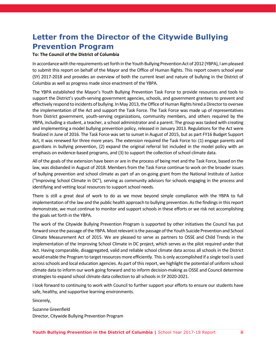## <span id="page-2-0"></span>**Executive Summary**

The Youth Bullying Prevention Act of 2012 (YBPA; DC Law L19-167) and its implementing regulations require schools and other youth-serving agencies (including, but not limited to, government agencies, libraries, non-profits, and community centers) to adopt comprehensive anti-bullying policies, implement thorough reporting and investigation procedures, provide training for staff, and maintain and report incident data. The law further requires the Mayor to report to Council, on a biennial basis, the current implementation of the Act and to provide a summary of the status of bullying in the District of Columbia. This report serves to fulfill this requirement for SY 2017-2018. As with the previous iterations of this report (SY 2013-2014; SY 2015-2016), this report provides a detailed summary of each education institution's engagement with the YBPA.

## <span id="page-2-1"></span>**Key Findings**

- **All local education agencies (LEAs) operating in SY 2017-18 have compliant bullying prevention policies**. Only two LEAs, both opened in SY 2018-19, have not submitted a compliant policy to the DC Office of Human Rights.
- **Full implementation of the YBPA's four requirements remains a challenge for most schools.**  Nearly half of schools (47 percent) report not providing staff training around the YBPA, and more than half report either that their bullying policy is not on the school's website, or they do not know if it is (56 percent). Although 98 percent of schools responded to the annual YBPA data request, nearly a third (30 percent) did not provide data on bullying incidents. Overall, only 16 percent of District schools are fully implementing all requirements of the YBPA.
- **Self-reported rates of bullying among middle school students and cyberbullying among high school students significantly increased from 2015 to 2017, even as national rates remained stable**. According to the 2017 Youth Risk Behavior Survey, middle and high school bullying rates were 32.5 percent and 11.5 percent, respectively; cyberbullying rates were 13.5 percent and 8.9 percent, respectively. Rates of bullying among DC students remain significantly lower than overall national rates.
- **Rates of reported incidents on the 2015-16 Civil Rights Data Collection and the 2018 YBPA Data Collection were significantly lower than self-reported rates on the Youth Risk Behavior Survey.** The CRDC data indicate a rate of 2.5 reports of bullying for every 1000 students, while the YBPA data indicate a rate of 25 reports for every 1000 students among schools that provided incident data.
- **Most reports (41 percent) of bullying received by schools were not attributed to specific personal characteristics**. The personal characteristics most often attributed to incidents of bullying were personal appearance (17 percent) and other unenumerated distinguishing characteristics (6 percent).
- **Pilot school climate data show considerable variation across schools' strengths and needs**. School climate data collected from 19 schools as part of the ongoing Improving School Climate in DC project show that while participating schools generally have favorable school climates, there is room for improvement on specific aspects of school climate and for certain subgroups (e.g., transgender students), which vary across schools.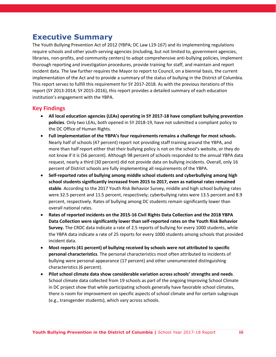## <span id="page-3-0"></span>**Recommendations for DC Council, Office of the State Superintendent for Education and Citywide Bullying Prevention Program**

• **Ensure the implementation plan for expanding school climate surveys to all schools serving grades 6-12 in SY 2020-21 relies on a single, valid, school climate measurement tool.** The Youth Suicide Prevention and School Climate Measurement Act require the Office of the State Superintendent for Education (OSSE) to submit a plan to expand school climate surveys by December 2019. It is critical that such a plan focus on a consistent measurement tool to allow the District to prioritize support and track changes over time. Data from different measurement tools cannot be compared*: The Citywide Bullying Prevention Program will continue to work with OSSE and the Council, to ensure the final plan prioritizes data that are universal and actionable*.

### <span id="page-3-1"></span>**Priorities for the Citywide Bullying Prevention Program**

- **Support schools' implementation of all elements of the YBPA.** The Citywide Bullying Prevention will continue to work with school bullying points of contact to ensure they understand the requirements of the YBPA and have resources to support the implementation of the four basic requirements (policy; data collection and reporting; policy dissemination; staff training).
- **Disseminate best practices to ensure effective responses to bullying incidents.** The Citywide Bullying Prevention Program will build off the District's existing initiatives to adopt traumainformed approaches and address over-reliance on exclusionary discipline by helping schools:
	- o *Ensure all allegations of bullying are met with a trauma informed response*. When a school receives a report of bullying, the first priority must be to ensure the safety and well-being of the student. This response involves establishing a support plan that validates the student's feelings, builds trust, provides supports based on individual needs, and builds resilience skills to recover from the trauma. Students who are aggressive also need a trauma-informed approach to identify the underlying needs and issues that can be addressed to stop the behavior.
	- o *Determine the nature of the incident before applying a solution*. It is often difficult at first to distinguish fights from bullying and bullying from conflict. It takes time to understand the nature and source of the behavior. Until the power dynamic has been assessed, the school should not rush to mediation or even restorative practices. Mediation and restorative practices are often used to respond to conflict, but they may not be appropriate for bullying incidents. When used for bullying, restorative practices must be conducted with the full buy-in of all students involved. Further, regardless of whether an incident is confirmed as bullying or is instead a conflict, relationship abuse, or another form of aggression, knowing the root cause is critical to providing the right support.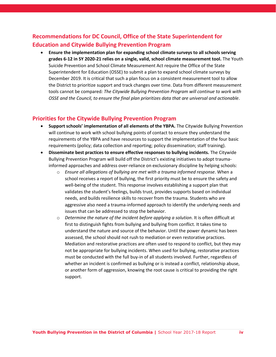## **Table of Contents**

| Letter from the Director of the Citywide Bullying Prevention Programii                        |
|-----------------------------------------------------------------------------------------------|
|                                                                                               |
|                                                                                               |
|                                                                                               |
|                                                                                               |
| The Youth Bullying Prevention Act of 2012 and State of the Field1                             |
| Section 1: Programs, Activities, Services, and Policies Established as a                      |
|                                                                                               |
|                                                                                               |
|                                                                                               |
|                                                                                               |
|                                                                                               |
|                                                                                               |
| Recommendations for DC Council, Office of the State Superintendent for Education and Citywide |
|                                                                                               |
| Appendix A: Products Developed by the Citywide Bullying Prevention                            |
|                                                                                               |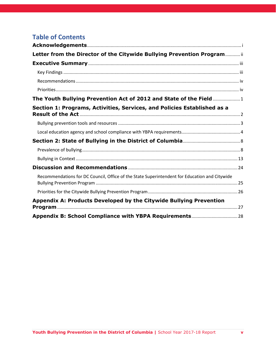## <span id="page-5-0"></span>**The Youth Bullying Prevention Act of 2012 and State of the Field**

Strong anti-bullying policies are foundational to effective bullying prevention.<sup>1</sup> The Youth Bullying Prevention Act of 2012 (YBPA; DC Law L19-167) is among the most comprehensive bullying prevention policies across the United States and its territories.<sup>2</sup> The law and its implementing regulations require all schools and youth-serving agencies (including, but not limited to, government agencies, libraries, nonprofits, and community centers) to adopt comprehensive anti-bullying policies, implement thorough reporting and investigation procedures, provide training for staff, and maintain and report incident data. The law further requires the Mayor to provide, on a biennial basis, a report to Council regarding the current implementation of the Act and a summary of the status of bullying in the District of Columbia.

This report serves to fulfill this requirement for SY 2017-2018. Like its previous iterations (for SY 2013- 2014 and SY 2015-2016), this report provides a detailed summary of each educational institution's engagement with the YBPA. In accordance with the YBPA's requirements, the report is divided into two sections: Section 1 covers the programs, activities, and policies established as a result of the YBPA; Section 2 covers the state of bullying in the District of Columbia.

It is important to note how the field of bullying prevention has evolved since the YBPA was enacted. In 2012, the District was among a number of states that adopted new anti-bullying laws or amended existing ones.<sup>3</sup> Demand for such efforts was high: Following a number of youth suicides that were linked to bullying, the U.S. Department of Education released guidance to help inform anti-bullying legislative efforts across the country.<sup>4</sup> Although this guidance was based on existing legislation, there was little evidence at the time about such laws' potential impact.

Similarly, most bullying prevention efforts—whether focused on policy, program, or other issues—lack evidence regarding their efficacy reducing bullying perpetration and victimization. Many programs that are demonstrated to be effective outside the United States have not had the same results in this country.<sup>5</sup> Although there are a wide variety of bullying prevention approaches, many focus on informing children and youth about the behavior and its consequences and implementing disciplinary consequences for bullying behaviors. 6

Like these traditional approaches, the YBPA also focuses on defining the bullying behavior and requiring schools to establish consequences, albeit in a flexible and graduated manner that respond to the needs of both the target and the aggressor. Importantly, however, the Mayor's Youth Bullying Prevention Task Force, which created a model policy for the District, went well beyond this simple disciplinary frame by prescribing a tiered, public health approach for the prevention and intervention of bullying behaviors.

 $\overline{\phantom{a}}$ 

 $1$  National Academies of Sciences, Engineering, and Medicine. (2016). Preventing bullying through science, policy, and practice. Washington, D.C.: National Academies Press.

<sup>2</sup> See https://www.stopbullying.gov/laws/index.html

<sup>3</sup> Stuart-Cassel, V., Bell, A., & Springer, J. F. (2011). Analysis of State Bullying Laws and Policies. Office of Planning, Evaluation and Policy Development, US Department of Education.  $<sup>4</sup>$  Ibid 3.</sup>

<sup>5</sup> Ttofi, M. M., & Farrington, D. P. (2011). Effectiveness of school-based programs to reduce bullying: A systematic and meta-analytic review. Journal of Experimental Criminology, 7(1), 27-56. 6 Ibid 5.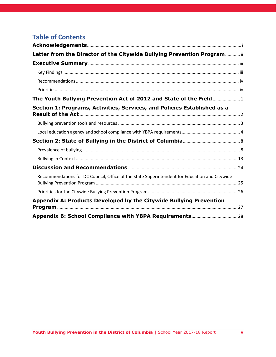The model policy provides a framework for the Citywide Bullying Prevention Program's overall approach: discouraging exclusionary discipline; encouraging the integration of bullying prevention into other whole-school prevention models (e.g., Positive Behavioral Intervention and Supports, Restorative Justice, Response to Intervention, etc.); improving overall school climate; and building resilience skills both for those who have been bullied and those who engage in bullying behaviors.

This framework is consistent with many other efforts adopted by the District at large, as well as within the District of Columbia Public Schools. These efforts include establishing restorative justice approaches, implementing social emotional learning curricula, and improving school climate. There is emerging evidence to support the potential of each of these approaches to impact bullying; however, integrating the approaches requires a degree of caution.<sup>7</sup> Some researchers have raised concerns, for example, about using restorative practices in response to a bullying incident.<sup>8</sup> Bullying, by definition, involves a power imbalance between the child engaging in the bullying behavior and the target. Failing to carefully implement restorative justice practices, such as mediation and restorative circles, without the full buy-in of the targeted child (i.e., affirming willingness and desire to participate) could further exacerbate a targeted child's feelings of powerlessness.

Still, these novel approaches may hold promise for impacting rates of bullying in DC; however, they will require broad coordination among the many school-level and city-wide initiatives that promote students' well-being. Further, the promise of these approaches underscores the importance of looking beyond simple counts of bullying incidents toward comprehensive assessments of overall school climate and individual student well-being.

For this reason, the Citywide Bullying Prevention Program works to expand the conversation about bullying prevention to include school climate, student mental health, and school discipline. This report embraces this broader lens.

# <span id="page-6-0"></span>**Section 1: Programs, Activities, Services, and Policies Established as a Result of the Act**

The Citywide Bullying Prevention Program serves three primary functions. First, the Program provides resources to schools and other youth-serving agencies to support their bullying prevention efforts. Second, the Program provides oversight to ensure agencies are compliant with the YBPA. Finally, the Program provides mediation assistance, as needed, between parents and schools and other entities for individual bullying cases. This section focuses first on the products developed by the Program since the 2015-16 report and, second, on the current compliance of schools with the YBPA.

**Youth Bullying Prevention in the District of Columbia |** School Year 2017-18 Report **2** 

 $\overline{\phantom{a}}$ 

<sup>7</sup> Temkin, D. (*in press*). Supporting Students Involved in Bullying Behaviors: Moving Beyond a Disciplinary Framework. In: D. Osher, M. Mayer, R. Jagers, K. Kendoza, & L. Wood (Eds.). *Keeping Students Safe and Helping Them Thrive*.

<sup>8</sup> Molnar-Main, S., Bisbing, K., Blackburn, S., Galkowski, L., Garrity, R., Morris, C., ... & Singer, J. (2014). Integrating bullying prevention and restorative practices in schools: Considerations for practitioners and policy-makers. Center for Safe Schools, Clemson Institute on Family and Neighborhood Life, Highmark Foundation. Retrieved from http://www. safeschools. info/content/BPRPWhitePaper2014. pdf.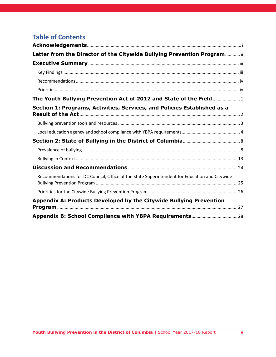### <span id="page-7-0"></span>**Bullying prevention tools and resources**

Since its establishment in 2013, the Program has developed several tipsheets, toolkits, and other resources for use by agencies, parents, and others to support bullying prevention efforts in the District. A full listing of these products is available in Appendix A. We focus here on four products employed during the 2017-18 school year.

#### **Know Your Policy Portal**

As noted in the 2015-16 report, this portal provides parents and guardians with school-specific bullying prevention information, including contact information for schools' bullying prevention points of contact and bullying prevention policies submitted by local education agencies (LEAs). This portal is updated annually, or on a rolling basis as schools notify the Office of Human Rights.

| Mayor Muriel Bowter | $g_{ov}$                                   |                                                                                                                                                                                                                                                                                 |          |                         |                        | C: DC gov lik lahr do gov          |
|---------------------|--------------------------------------------|---------------------------------------------------------------------------------------------------------------------------------------------------------------------------------------------------------------------------------------------------------------------------------|----------|-------------------------|------------------------|------------------------------------|
|                     |                                            | <b>Office of Human Rights</b>                                                                                                                                                                                                                                                   |          |                         |                        |                                    |
| Home                | About OFER                                 | File Discrimination Complaint                                                                                                                                                                                                                                                   | Services | Education & Awareness - | The Commission *       | Language Access                    |
| <b>B</b> Listen     |                                            |                                                                                                                                                                                                                                                                                 |          |                         |                        | 自定証し<br>D trees.<br>A <sub>A</sub> |
|                     |                                            |                                                                                                                                                                                                                                                                                 |          |                         |                        |                                    |
|                     |                                            |                                                                                                                                                                                                                                                                                 |          |                         |                        |                                    |
| Know Your Policy    |                                            | The Know Your Policy web portal allows parents and quardians to access critical bullying prevention information for educational institutions and youth-serving                                                                                                                  |          |                         |                        |                                    |
|                     |                                            | government agencies. Select below the appropriate educational institution or agency to find its bullying prevention policy and point of contact, if available. Learn<br>more about the Citywide Bullying Prevention Program and District wide Model Bullying Prevention Policy. |          |                         |                        |                                    |
|                     | <b>Search Bullying Prevention Contacts</b> |                                                                                                                                                                                                                                                                                 |          | Charters                | DC Government Agencies |                                    |
|                     |                                            |                                                                                                                                                                                                                                                                                 |          |                         |                        | Paint                              |
|                     |                                            |                                                                                                                                                                                                                                                                                 |          |                         |                        |                                    |
|                     | Select agency type from the choices below. |                                                                                                                                                                                                                                                                                 |          |                         |                        |                                    |

#### **Youth Bullying Prevention** Program... **It Takes A District**

Tools, Tips, Research and Opportunities to Reduce Bullying<br>and Support A Positive School Climate

#### **Monthly Newsletters**

Starting in October 2017, the Program sent a monthly email newsletter to all school bullying prevention points of contact. Each edition contained three quick news items, resources, and/or tools related to bullying prevention. The newsletters are also archived on the Program's website.

#### **Responding to Reports of Bullying Tipsheet**

In response to requests from schools and parents, the Program developed a step-by-step tipsheet to help schools support students after a report of bullying is made. The tipsheet embraces a traumainformed approach, stressing the importance of supporting harmed students even if investigations do not confirm bullying occurred.

#### **El Camino Healthy Relationships Curriculum**

With funding from the Department of Health's federal Title V Maternal and Child Health Block Grant, the Office of Human Rights partnered with Child Trends to adapt a student-centered prevention program (El Camino) that focuses on building healthy relationships, both online and in-person, among middle school students. The curriculum aims to prevent bullying by helping students gain



confidence in their own identities and understand how their actions affect others. The program is currently being piloted in a public charter school and will be made broadly available to other District schools in spring 2019.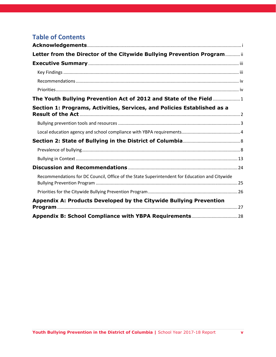## <span id="page-8-0"></span>**Local education agency and school compliance with YBPA requirements**

The YBPA and its associated regulations establish four primary requirements for local education agencies and schools. Specifically, these institutions must:

1) Establish an anti-bullying policy that includes each of the key components (i.e., definition, scope, reporting procedures, investigation procedures, appeal process) outlined in the YBPA.

2) Report data relating to the YBPA to the DC Office of Human rights on an annual basis.

3) Disseminate the bullying prevention policy to students and parents by publishing the publishing in the LEA's handbook and on its website.

4) Provide training to all employees on an annual basis.

This section details compliance with each of these requirements.

### **All existing local education agencies have submitted compliant policies to the Office of Human Rights.**

As of the submission of this report, only two LEAs—Digital Pioneers Academy and The Family Place—had not submitted a compliant policy to the Office of Human Rights. Both of these LEAs opened in school year 2018-19. The Office of Human Rights will continue to contact these schools to ensure a compliant bullying prevention policy is established.

#### **The vast majority of schools submitted bullying data for school year 2017-2018.**

To facilitate data collection, the Office of Human Rights included a reminder of schools' obligation to submit data in every monthly newsletter sent during school year 2017-18. This reminder included an Excel spreadsheet tool to help schools record data consistent with the required submission. In May 2018, the Office of Human Rights sent all bullying prevention points of contact a link to the secure online data collection tool. The Office of Human Rights directly followed up with schools four times prior to the August 15 deadline and engaged both the DC Public Schools central office and the DC Public Charter School Board for assistance collecting the data. Through this engagement, 98 percent of schools responded to the data request.

Although schools responded to the data request, 66 schools (28.7 percent of those responding) indicated either that they could not provide data or there had been zero reports of bullying. Given the high rates of self-reported bullying among students (see Section 2), it is unlikely that any school received zero reports of bullying. Receiving a report of bullying does not necessarily mean bullying occurred—and confirmed bullying cases are reported separately as part of the data collection. However, under the YBPA, schools are required to document and investigate every report. Although our goal is to reduce the incidence of bullying, it is also our goal to ensure schools effectively investigate and intervene when bullying occurs. It is highly unlikely that any school had zero reports of bullying in the past year and instead this zero suggests a school did not fulfill its obligation to document and investigate all reports of bullying under the YBPA, or did so in a less formal ad hoc manner (e.g., teachers independently managed a situation without making a formal report). Further, if a school did receive zero bullying reports, this may reflect a general culture in which students and parents feel uncomfortable making a report or lack confidence that the school will take appropriate action. District schools are not unique in this occurrence; reports from around the country highlight large percentages of schools failing to report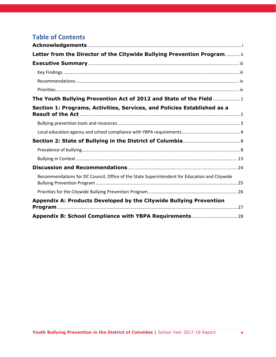bullying incidents. Overall, 30 percent of schools either did not respond to the data collection request or did not provide data.



#### **Figure 1.** Seventy percent of schools provided bullying data

In its instructions for reporting, the Office of Human Rights made clear that having zero reported incidents would be highly unlikely, and that schools reporting zero incidents would be noncompliant. A full listing of schools that did not report data per this definition is included in Appendix A. Because of this warning, several schools may have low, but non-zero, reports (16 percent reported either 1 or 2 reports of bullying). Schools were instructed that supporting documentation should be available for each reported incident; however, it was beyond the scope of this collection to audit these figures for validity.

**Fewer than half of schools reported including the bullying prevention policy on their website.** As part of the 2018 YBPA data collection, all schools were asked whether their bullying prevention policy was included on their website. Only 44 percent (101 schools) reported that the policy was included on the website. Over a third (34 percent) reported that the policy was not included, and 22 percent reported that they did not know.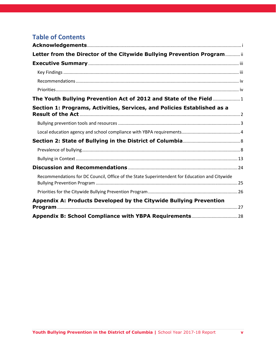



Because these data are self-reported, we verified links provided by each school to confirm whether its policy was accessible, and, if so, whether it was consistent with the compliant policy on file with the Office of Human Rights. Policies were checked only for schools that reported their policy was posted.

Of the 101 schools indicating their policy was posted on their website, we were able to locate 84 (83 percent),<sup>9</sup> leaving 17 schools for which we were unable to find the policy on the school's website. We compared the 84 identified policies to the YBPA compliance criteria and found that 16 (19 percent) were not compliant. Although some of these policies were missing only small components (e.g., missing enumerated categories from the definition of bullying), others lacked critical information on reporting and investigation procedures. A handful of policies did not comply at all with the requirements of the YBPA, for reasons that included having inconsistent definitions and procedures.

#### **Many schools did not provide required staff training around bullying prevention.**

The YBPA regulations require all schools to provide all staff with training, on an annual basis, around the policy and bullying prevention procedures. According to the regulations, the training must use the Office of Human Rights' three-hour toolkit or must be similar in content and scope. The regulations further require schools to provide written documentation of the training to the Bullying Prevention Program, including content and trainer information.

The Office of Human Rights asked each school to report this information as part of the 2018 YBPA data collection. Specifically, schools were asked whether and when training occurred, who provided the training, and whether the training made use of the Office of Human Rights' training toolkit. If schools

 $\overline{\phantom{a}}$ 

<sup>&</sup>lt;sup>9</sup> This count is by school, however some schools link back to an overarching LEA website so some policies are duplicated in this count.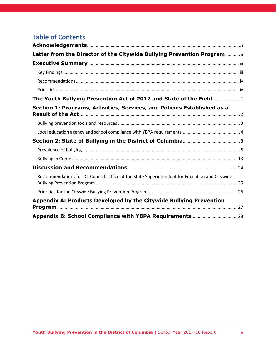indicated the Office of Human Rights' toolkit was not used, they were asked to fully describe the training.

Nearly half of responding schools (46.7 percent) indicated they had not provided a bullying prevention training in school year 2017-18. Of the 122 schools that reported providing training, just over half (55.7 percent) reported using the Office of Human Rights' toolkit. Descriptions of trainings that did not use the toolkit varied considerably. Most reported covering the policy and procedures with staff. Although this is a critical component of the training, it does not fully encompass the scope of the toolkit. Several other schools reported using specific bullying prevention curricula or providers, including participating in the ESPN No Bully pilot. Although these are important initiatives, it is not clear whether such trainings conformed to the YBPA, including the specific definition of bullying contained within the Act.



#### **Figure 3.** Just over half of schools provided bullying prevention training in SY 2017-18

#### **Only sixteen percent of schools are fully implementing all requirements of the YBPA.**

Schools are considered fully compliant with the YBPA if they (1) have a compliant policy (which includes all schools for school year 2017-18), (2) provided bullying data on the annual collection, (3) publicize their compliant policy on their website, and (4) provided bullying prevention training in SY 2017-18. For purposes of this section, we only consider schools in operation during the SY 2017-18 school year.

Overall, only 37 schools (15.8 percent) are compliant on each of these elements. The majority (87.6 percent) have a compliant policy and at least one other component; only 29 schools (12.4 percent) did not have any other compliant components. A full listing of schools is included in Appendix B.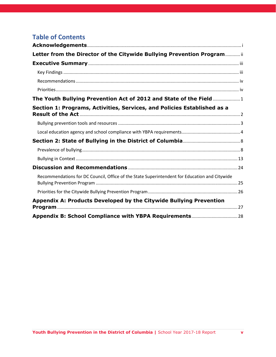

**Figure 4.** Most schools are missing at least one element of the YBPA

## <span id="page-12-0"></span>**Section 2: State of Bullying in the District of Columbia**

As with the SY 2015-16 report, we draw upon multiple data sources to describe the state of bullying in the District. Specifically, this report uses data from (1) the 2015 and 2017 Youth Risk Behavior Survey (YRBS), (2) the U.S. Department of Education's 2013-14 and 2015-16 Civil Rights Data Collections (CRDC) (3) the SY 2017-18 YBPA Data Collection described previously, and (4) the Improving School Climate in DC pilot test of the Education Department School Climate Survey (ED-SCLS). These data collections vary in their definitions of bullying, their respondents, and their reporting period. However, together they provide a comprehensive picture of District students' current experiences with bullying and how these experiences have changed over time. As noted in the 2015-16 report, discrepancies in data between sources may highlight the need for additional investigation and/or support. For example, large discrepancies between student- and school-reported bullying incidence may suggest systematic underreporting by students, lack of follow-up from schools, or a disconnect between student and school definitions of bullying.

#### <span id="page-12-1"></span>**Prevalence of bullying**

Three datasets—the YRBS, the CRDC, and the YBPA data collection—provide estimates of the prevalence of bullying in the District. The YRBS collects data from student respondents (in grades 9-12 for the high school collection and grades 6-8 for the middle school collection) who anonymously report on their own experiences in schools. The CRDC collects data from each school on the number of reports of bullying or harassment on the basis of sex; race, color, or national origin; disability; religion; and sexual orientation. Finally, the YBPA data collection asks schools to report both received reports of bullying and confirmed incidents, regardless of basis. The YRBS data were collected in the spring of 2017 (SY 2016-17), the CRDC data are from SY 2015-16, and the YBPA data are from SY 2017-18, thus limiting direct comparison between these datasets.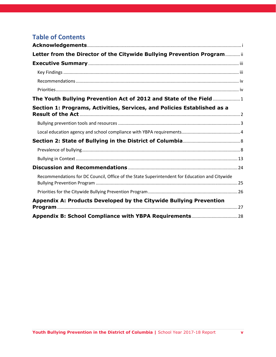## **Rates of student-reported bullying remained steady in 2017 for high school students, while rates of cyberbullying and fighting in school increased.**

According to the YRBS, 11.5 percent of District students in grades 9-12 reported being bullied at school in 2017. This rate is statistically unchanged from 2015, when 12.1 percent reported being bullied. However, the percentage of students reporting being cyberbullied significantly increased,<sup>10</sup> from 7.9 percent to 8.9 percent. Washington D.C.'s rates of student-reported bullying and cyberbullying remain among the lowest of the country. Nationally, 19.0 percent and 14.9 percent of students in grades 9-12 report being bullied and cyberbullied, respectively.



#### **Figure 5.** Rates of bullying in D.C. remain significantly lower than national rates

The District's rate of fighting at school is among the highest of states and localities across the country. The District's rate of fighting at school significantly increased, from 13.8 percent in 2015 to 15.5 percent 2017, while nationally this rate remained stable.

At the middle school level, rates of bullying in school significantly increased from 30.8 percent in 2015 to 32.5 percent in 2017. Rates of cyberbullying also increased from 12.6 percent to 13.5 percent; however, this increase was not statistically significant. The YRBS does not provide national estimates for middle school.

 $\overline{\phantom{a}}$ 

 $10$  References to "significance" throughout this report refer to statistical testing. Such analyses test whether the observed difference has more than a 95% likelihood it did not occur by chance.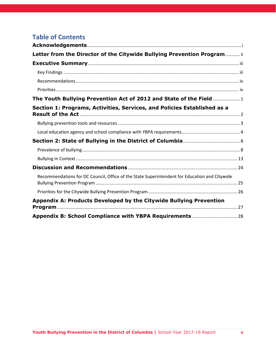

#### **Figure 6.** Rates of bullying among D.C. middle school students increased from 2015 to 2017

## **The number of bullying and harassment allegations reported to the Civil Rights Data Collection increased in 2015-16, but still indicate less than one percent of students involved.**

The U.S. Department of Education's Civil Rights Data Collection (CRDC) requires all schools to report data on bullying and harassment on a biennial basis. The CRDC asks schools to record both the number of allegations made as well as the number of students who were targeted. These statistics are not always aligned, as multiple students could be implicated in a single allegation of bullying or multiple allegations of bullying may involve the same students. Reports are limited to those incidents that are based on one of five traits: disability; race, color, or national origin; sex; sexual orientation, and religion. The 2015-16 collection was the first year all schools were required to report the number of allegations of bullying and harassment based on sexual orientation and religion. The CRDC does not ask schools to report the number of students reported as harassed or bullied based on sexual orientation or religion.

|                                 | <b>Number of</b><br>allegations | Rate per enrolled<br>population (per<br>1000 students) | <b>Number of students</b><br>reported as harassed<br>or bullied | Percentage of<br>enrolled<br>population |
|---------------------------------|---------------------------------|--------------------------------------------------------|-----------------------------------------------------------------|-----------------------------------------|
| <b>Disability</b>               | 22                              | 3 per 1000                                             | 40                                                              | 0.05%                                   |
| Race, color, or national origin | 37                              | 4 per 1000                                             | 55                                                              | 0.07%                                   |
| <b>Sex</b>                      | 125                             | 15 per 1000                                            | 139                                                             | 0.17%                                   |
| <b>Sexual orientation</b>       | 18 <sup>a</sup>                 | 5 per 1000 <sup>b</sup>                                | $\ast$                                                          | $\ast$                                  |
| Religion                        | 2 <sup>a</sup>                  | 1 per $1000^{\rm b}$                                   | $\ast$                                                          | $\ast$                                  |
|                                 |                                 |                                                        |                                                                 |                                         |
| <b>Total</b>                    | 204                             | 2.5 per $1000c$                                        | 234                                                             | 0.28%                                   |

#### **Table 1.** Bullying/Harassment Incidents Among D.C. Students, SY 2013-14, Civil Rights Data Collection

\* Was not reported to OCR by schools

a All DCPS schools failed to provide data to the CRDC regarding incidents based on sexual orientation and religion

 $b$  Enrollment total based only on schools that provided data for these elements, as reported in CRDC <sup>c</sup> Based on all schools in DC, noting that this estimate may be low given the lack of data for sexual orientation and religion elements

For school year 2015-16, District schools reported 204 allegations of bullying and harassment on the CRDC, amounting to approximately 2.5 allegations for every 1,000 students. It should be noted that data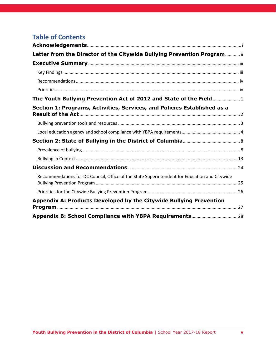for allegations based on sexual orientation and religion are missing for all schools in the District of Columbia Public Schools (DCPS). Schools additionally reported that 234 students (0.28 percent) were reported bullied based on disability, race, or sex.

These rates are significantly higher than those reported for the 2013-14 CRDC (and as we noted in the 2015-16 report), when only 81 allegations were reported. However, this rate is still much lower than self-reported rates from the YRBS. Additionally, over one-third of schools (36.5 percent) report having zero allegations of bullying or harassment in SY 2015-16. The CRDC bullying and harassment data have taken on new importance for the District as these metrics were recently selected for inclusion on the school report cards required under the federal Every Student Succeeds Act (ESSA).

## **Using the broader definition of bullying under the YBPA, schools received 1,639 reports of bullying in SY 2017-18, of which 625 were confirmed.**

As reported in Section 1, schools were required to submit both the number of reported bullying incidents and the number of incidents that were confirmed to be bullying as part of the YBPA data collection. The YBPA's definition of bullying is more expansive than the CRDC's and covers bullying based on all characteristics covered under the DC Human Rights Act (see Table 2 below) as well as bullying not attributed to a specific characteristic.

Considering only schools that received at least one report of bullying, the 1,639 reports represents 25 reports for every 1000 students. Rates varied considerably by school, ranging from fewer than two reports per 1000 students to 320 reports per 1000 students.

The 625 confirmed reports represent a confirmation rate of 38 percent. Confirmation rates at individual schools ranged from 0 percent to 100 percent. Forty-six schools (28.2 percent) recorded the same number of reported incidents as confirmed incidents; this could indicate that some schools are not recording all reports they receive.

#### **Over half of received reports were attributed to student characteristics.**

The YBPA data collection additionally asked schools to indicate any characteristic attributed as a basis for each reported incident of bullying. Table 2 provides a breakdown of the frequency of these bases. Overall, 40.5 percent of reports were not attributed to a specific characteristic. Personal appearance (17.4 percent) and other distinguishing characteristics not enumerated (6.0 percent) were the highest attributed characteristics.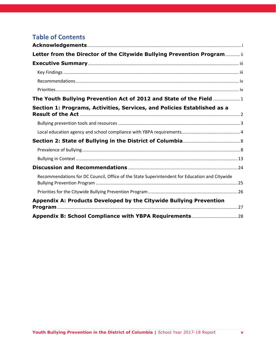| <b>Characteristic</b>                          | <b>Percentage of</b><br><b>Reports</b> |
|------------------------------------------------|----------------------------------------|
| Race                                           | 1.8%                                   |
| Color                                          | 1.5%                                   |
| Ethnicity                                      | 1.5%                                   |
| Religion                                       | 0.8%                                   |
| National origin                                | 0.6%                                   |
| Sex                                            | 4.5%                                   |
| Age                                            | 0.9%                                   |
| Marital status                                 | 0.0%                                   |
| Personal appearance                            | 17.4%                                  |
| Sexual orientation                             | 2.6%                                   |
| Gender identity/expression                     | 1.2%                                   |
| Intellectual ability                           | 4.2%                                   |
| <b>Familial status</b>                         | 1.7%                                   |
| Family responsibilities                        | 0.6%                                   |
| Matriculation                                  | 0.5%                                   |
| <b>Political affiliation</b>                   | 0.2%                                   |
| <b>Genetic information</b>                     | 0.0%                                   |
| Disability                                     | 3.6%                                   |
| Source of income                               | 1.2%                                   |
| Status as a victim of an intra-family offense  | 0.7%                                   |
| Place of residence or business                 | 0.7%                                   |
| Other distinguishing characteristic            | 6.0%                                   |
| Not attributed to an enumerated characteristic | 40.5%                                  |

Note: Percentages may sum to more than 100% as reports could be based on multiple characteristics

### **Many schools are using alternatives to exclusionary discipline in response to bullying incidents.**

For each reported incident of bullying, schools were asked to report the types of discipline and consequences used to address the behavior. Specifically, schools were asked whether they used inschool suspension, out-of-school suspension, expulsion, referrals to law enforcement, restorative justice approaches, referrals to counseling or other mental health services, or other forms of discipline or consequences. Multiple forms of response could be reported for each incident.

Schools named restorative justice approaches as the most frequently used response to bullying incidents (42.6 percent). Schools also reported providing referrals to counseling and mental health services for over a quarter of reported incidents (25.9 percent). Schools are still using out-of-school suspensions (27.5 percent), in-school suspensions (16.5 percent), and referrals to law enforcement (3.7 percent) to address a sizable percentage of bullying incidents. In fact, the majority of schools that had at least one incident of bullying reported using out-of-school suspension at least once (56.9 percent).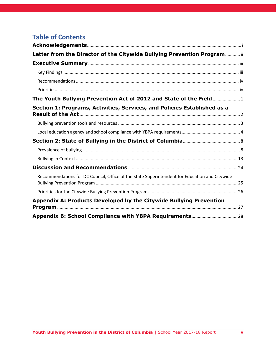**Table 3.** Frequency of discipline type use for bullying incidents

| <b>Form of Discipline</b>              | Percentage of<br><b>Incidents</b> | <b>Percentage of Schools With</b><br>at Least One Incident Using<br><b>Discipline Form</b> |
|----------------------------------------|-----------------------------------|--------------------------------------------------------------------------------------------|
| In-school suspension                   | 16.5%                             | 36.2%                                                                                      |
| Out-of-school suspension               | 27.5%                             | 56.9%                                                                                      |
| Expulsion                              | 0.0%                              | 0.0%                                                                                       |
| Referral to law enforcement            | 3.7%                              | 6.9%                                                                                       |
| Restorative justice                    | 42.6%                             | 48.3%                                                                                      |
| Counseling/mental health services      | 25.9%                             | 40.5%                                                                                      |
| Other forms of discipline/consequences | 35.7%                             | 44.0%                                                                                      |

Note: Percentages may sum to more than 100% as multiple types of discipline could be used for a single incident

## <span id="page-17-0"></span>**Bullying in Context**

The data presented in the section above highlight the need to address bullying in the District, but they do not provide contextual information critical to understanding how best to address the issue. School climate data provide information about student engagement in schools, students' sense of safety around bullying and other issues, and the overall environment for all students and for subgroups. These data can identify schools' individual strengths and needs and provide a road map for improving conditions for learning.

In 2015, the Office of Human Rights partnered with OSSE and Child Trends to secure a Comprehensive School Safety Initiative Grant from the National Institute of Justice to expand upon work started under the Bullying Prevention Program in 2013. The Improving School Climate in DC (ISC-DC) project provides technical assistance to middle and high schools that volunteered for participation, by building capacity to improve school climate and providing schools with individual financial support as they complete key milestones. The schools base their decision-making around school climate data collected annually with the U.S. Department of Education's School Climate Survey (ED-SCLS). Every school that participates on the ED-SCLS receives detailed analyses of their data, highlighting areas in which the school is doing well and areas that could use additional support. The reports track progress over time and examine differences among subgroups within the school.

When ISC-DC first launched, Council passed the Youth Suicide Prevention and School Climate Measurement Act, which incorporated the ISC-DC data collection as a pilot towards District-wide school climate data collection in school year 2020-2021.

This section of the report highlights key findings from the first two years (2016-17; 2017-18) of the ISC-DC project and illustrates the power of consistent, valid school climate data to inform priorities for improving school climate. These data are not necessarily generalizable to all schools in the District; the data are based on 26 public and public charter schools in 2016-17 and 19 schools in 2017-18.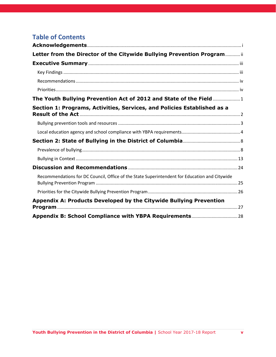## **The U.S. Department of Education's School Climate Survey (ED-SCLS) provides a broad picture of school climate.**

The ED-SCLS is a measure of school climate across 13 topic areas, which are grouped into three domains: *engagement*, *safety*, and *environment*. *Engagement* is defined as "strong relationships between students, teachers, families, and schools, and strong connections between schools and the broader community;" *safety* is defined as students' safety "from violence, bullying, harassment, and substance use" at school and school-related events; and *environment* is defined as "appropriate facilities, wellmanaged classrooms, available school-based health supports, and a clear, fair disciplinary policy" at the school. 11

For students, the ED-SCLS assesses 12 topic areas and produces scale scores for 11 of these topic areas.<sup>12</sup> ED-SCLS school climate scale scores range from 100 to 500 points, with higher scores being better. Figure 7 illustrates how the 12 topic areas are organized within the three domains of the ED-SCLS. Figure 8 provides national benchmarks from the Department of Education for interpreting ED-SCLS scores.





l

<sup>&</sup>lt;sup>11</sup> Definitions of engagement, safety, and environment are from the National Center on Safe Supportive Learning Environments: <https://safesupportivelearning.ed.gov/school-climate>

 $12$  The student survey for the ED-SCLS did not ask students about physical health in the environment domain; only instructional staff and non-instructional staff were asked about students' physical health. The student survey for the ED-SCLS included two items for the Emergency Readiness/Management (ERM) topic area in the safety domain, but these items do not form a scale and are not included in the overall safety score.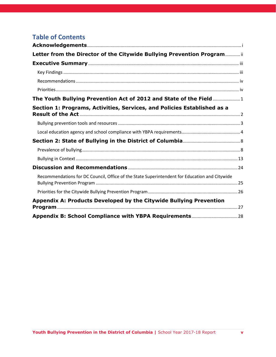| <b>Performance Level</b>             | <b>Students' most likely response</b><br>to a positively worded item<br>Example: "I feel like I belong." | <b>Students' most likely response</b><br>to a negatively worded item<br>Example: "Students at this school<br>fight a lot." |  |  |  |  |
|--------------------------------------|----------------------------------------------------------------------------------------------------------|----------------------------------------------------------------------------------------------------------------------------|--|--|--|--|
| Least favorable (scores 100-<br>299) | Disagree or Strongly Disagree                                                                            | Agree or Strongly Agree                                                                                                    |  |  |  |  |
| Favorable (scores 300-400)           | Agree                                                                                                    | <b>Disagree</b>                                                                                                            |  |  |  |  |
| Most favorable (scores 401-<br>500)  | <b>Strongly Agree</b>                                                                                    | <b>Strongly Disagree</b>                                                                                                   |  |  |  |  |

#### **Figure 8:** Benchmarked performance levels for the ED-SCLS

Source: U.S. Department of Education, National Center on Safe Supportive Learning Environments. (2017). *ED School Climate Surveys (EDSCLS) Benchmark Performance Levels*. Retrieved fro[m https://safesupportivelearning.ed.gov/edscls/benchmarks](https://safesupportivelearning.ed.gov/edscls/benchmarks)

Most of the items on the ED-SCLS ask students for their perceptions of the school environment in general rather than their personal experiences. For example, in regard to bullying, the ED-SCLS asks students whether they agree or disagree that students are bullied at their school. The ISC-DC team added a handful of personal experience items (i.e., bullying, fighting, and feeling safe at school) to explore the association between school climate and these experiences.

The ED-SCLS not only provides data on the overall conditions at a given school but also allows for comparisons of subgroups within a school. Child Trends, with separate funding from the Arcus Foundation, tested and validated new sexual orientation and gender identity items to add to the ED-SCLS's existing demographic items.

### **Schools participating in the ISC-DC have, on average, favorable school climates across all domains and subdomains.**

Both in 2016-17 and 2017-18, the average school climate scores were between 300-400, which the U.S. Department of Education deems as favorable. This finding indicates that while there is room to improve, ISC-DC schools are doing comparatively well. Between 2016-17 and 2017-18, average scores generally stayed stable or significantly increased; there were no domains or subdomains for which ISC-DC schools saw a decline in school climate scores. Scores improved in three subdomains: emotional safety, physical safety, and cultural and linguistic competence. Physical environment (317 In 2017-18), which refers to the physical conditions of the school, was the lowest subdomain, indicating that although still in the favorable range, students generally saw room for improvement. Substance use (379 in 2017-18) was the highest subdomain, indicating that students do not generally view substance use as an issue in their schools. Average scores for all domains and subdomains for each year are presented in Table 4.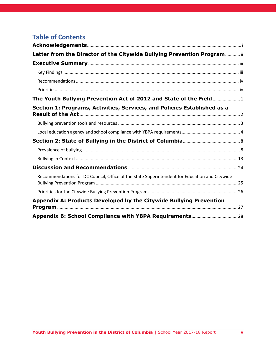**Table 4.** Average School Climate Scores for Schools Participating in the ISC-DC Project, 2016-17 and 2017-18

|                                     | 2016-17 | 2017-18 |
|-------------------------------------|---------|---------|
| Engagement (scale)*                 | 347.5   | 350.0   |
| Cultural and Linguistic Competence* | 351.3   | 356.8   |
| Relationships                       | 343.4   | 345.7   |
| Participation                       | 358.8   | 359.0   |
| Safety (scale)*                     | 344.8   | 348.7   |
| Emotional Safety*                   | 333.4   | 339.0   |
| Physical Safety*                    | 349.8   | 356.4   |
| <b>Bullying</b>                     | 336.0   | 337.8   |
| Substance Use                       | 380.4   | 378.6   |
| <b>Environment (scale)</b>          | 342.1   | 342.3   |
| <b>Physical Environment</b>         | 313.4   | 316.7   |
| <b>Instructional Environment</b>    | 367.0   | 364.5   |
| <b>Mental Health</b>                | 336.4   | 338.0   |
| <b>Disciplinary Environment</b>     | 355.5   | 353.3   |

\*denotes significant improvement from 2016-17 to 2017-18, p < .05

#### **Perceptions of school climate vary by subgroup, but differences are generally small.**

ED-SCLS allowsfor comparing subgroups of youth to identify specific groups that may need additional support. When comparing groups' scores, we look at the magnitude of difference. Generally, we consider a difference of fewer than 20 points a small gap, 20-40 points a moderate gap, and more than 40 points a large gap.

Looking across all schools that participated in ISC-DC for school year 2017-18, differences between subgroups are generally small across domains and subdomains, with some exceptions. Table 5 presents the scale scores for each subgroup and highlights where subgroups have moderate or large gaps.

Ninth- and tenth-grade students have more positive perceptions of physical safety, bullying, and the physical environment than do seventh- and eighth grade-students, and they perceive a more negative climate around substance use (indicating that they perceive more acceptance of substance use). Tenthgrade students also have more positive perceptions of mental health.

Black students have lower perceptions around cultural and linguistic competence, physical safety, and bullying as compared to white students. Hispanic students also perceive physical safety more negatively compared to white students. Students who are two or more races perceive cultural and linguistic competence and physical safety more negatively than white students.

Differences between male and female students across all domains and subdomains are small. Transgender students, however, perceive school climate more negatively than their cisgender peers across almost every domain and subdomain, with the exception of participation. Across several subdomains (emotional safety, bullying, substance use, physical environment, and mental health) transgender students' average scores fell within the less favorable range (below 300).

Across all domains and subdomains, there are small differences in perceptions of school climate between students who are lesbian, gay, or bisexual and those who are straight. The biggest gap is for perceptions of bullying and cyberbullying (10.2 points), but this is still considered a small gap.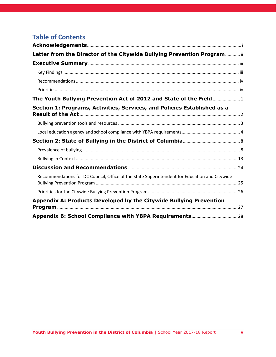|                          |                                          |                |       | Grade              |                    |       | Race<br>Gender     |                    |           |                         |  |       |        | <b>Sexual Orientation</b> |                 |            |
|--------------------------|------------------------------------------|----------------|-------|--------------------|--------------------|-------|--------------------|--------------------|-----------|-------------------------|--|-------|--------|---------------------------|-----------------|------------|
|                          |                                          | $\overline{7}$ | 8     | $\overline{9}$     | 10                 | White | <b>Black</b>       | <b>Hispanic</b>    | Asian     | Two or<br>More<br>Races |  | Male  | Female | Transgender               | <b>Straight</b> | <b>LGB</b> |
| Engagement<br>(scale)    |                                          | 349.7          | 344.5 | 362.0              | 358.0              | 357.7 | 347.0              | 351.6              | 346.4     | 345.7                   |  | 353.1 | 348.0  | 327.8 <sup>b</sup>        | 350.2           | 347.5      |
|                          | Cultural and<br>Linguistic<br>Competence | 357.4          | 352.0 | 372.9              | 360.7              | 373.7 | 348.2 <sup>b</sup> | 361.7              | 355.5     | 347.1 <sup>b</sup>      |  | 360.3 | 354.4  | 325.8 $b$                 | 356.8           | 354.7      |
|                          | Relationships                            | 346.2          | 339.5 | 354.7              | 354.5              | 354.4 | 341.9              | 347.6              | 344.8     | 341.2                   |  | 349.7 | 343.1  | 317.1 <sup>b</sup>        | 345.8           | 342.4      |
|                          | Participation                            | 356.6          | 353.2 | 372.8              | 369.0              | 356.2 | 362.3              | 356.3              | 348.1     | 362.6                   |  | 360.5 | 357.8  | 354.1                     | 359.3           | 358.2      |
| <b>Safety</b><br>(scale) |                                          | 348.5          | 343.8 | 364.3              | 354.8              | 362.7 | 341.6 <sup>b</sup> | 348.8              | 357.9     | 346.3                   |  | 352.1 | 347.3  | 295.5 <sup>b</sup>        | 349.8           | 342.9      |
|                          | Emotional<br>Safety                      | 338.3          | 333.6 | 353.5              | 349.0              | 350.0 | 332.6              | 342.8              | 340.3     | 335.7                   |  | 342.0 | 337.4  | 307.1 <sup>b</sup>        | 340.1           | 332.8      |
|                          | <b>Physical Safety</b>                   | 352.3          | 349.6 | 380.3 <sup>a</sup> | 379.7 <sup>a</sup> | 378.7 | 345.6 <sup>b</sup> | 355.1 <sup>b</sup> | 375.3     | 353.3 <sup>b</sup>      |  | 359.4 | 355.3  | 310.2 <sup>b</sup>        | 357.4           | 350.8      |
|                          | <b>Bullying</b>                          | 330.8          | 333.7 | 372.3 <sup>a</sup> | 357.9 <sup>a</sup> | 354.4 | 329.3 <sup>b</sup> | 339.4              | 338.5     | 336.5                   |  | 340.0 | 337.6  | 273.3 <sup>b</sup>        | 339.0           | 331.1      |
|                          | Substance Use                            | 396.8          | 379.6 | 344.6 <sup>b</sup> | 328.4 <sup>b</sup> | 384.5 | 376.4              | 372.7              | 406.1 $a$ | 378.4                   |  | 383.4 | 376.9  | 296.8 <sup>b</sup>        | 378.9           | 377.3      |

### **Table 5.** School climate scale scores by student demographics

<sup>a</sup> Denotes a moderate to large gap from reference group (first column) in positive direction

**b** Denotes a moderate to large gap from reference group (first column) in negative direction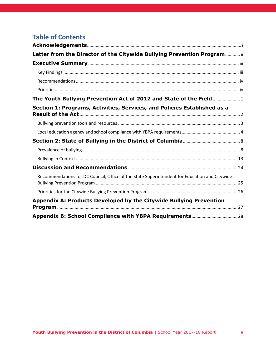|                        |                              |                          |       | Grade          |                    | Gender<br>Race |              |          |       |                         | <b>Sexual Orientation</b> |       |        |                    |          |            |
|------------------------|------------------------------|--------------------------|-------|----------------|--------------------|----------------|--------------|----------|-------|-------------------------|---------------------------|-------|--------|--------------------|----------|------------|
|                        |                              | $\overline{\phantom{0}}$ | 8     | $\overline{9}$ | 10                 | White          | <b>Black</b> | Hispanic | Asian | Two or<br>More<br>Races |                           | Male  | Female | Transgender        | Straight | <b>LGB</b> |
| Environment<br>(scale) |                              | 339.0                    | 335.6 | 356.9          | 357.7              | 345.3          | 341.9        | 345.2    | 337.4 | 337.2                   |                           | 343.1 | 342.6  | 311.9 <sup>b</sup> | 342.2    | 340.8      |
|                        | Physical<br>Environment      | 309.2                    | 305.4 | 346.2a         | 352.6 <sup>a</sup> | 328.7          | 310.6        | 321.1    | 316.1 | 309.4                   |                           | 316.7 | 317.5  | 286.2 <sup>b</sup> | 316.1    | 316.7      |
|                        | Instructional<br>Environment | 365.0                    | 356.8 | 370.3          | 373.3              | 363.1          | 366.4        | 367.1    | 357.4 | 360.8                   |                           | 364.4 | 365.7  | 327.5 <sup>b</sup> | 364.3    | 362.7      |
|                        | <b>Mental Health</b>         | 334.7                    | 330.3 | 353.2          | 355.1 <sup>a</sup> | 340.3          | 338.9        | 340.8    | 329.3 | 332.9                   |                           | 341.1 | 336.7  | 299.3 <sup>b</sup> | 338.4    | 335.6      |
|                        | Disciplinary<br>Environment  | 351.4                    | 350.6 | 361.6          | 352.1              | 350.7          | 356.0        | 355.5    | 348.8 | 349.4                   |                           | 353.4 | 353.9  | 331.2 <sup>b</sup> | 353.4    | 351.6      |

<sup>a</sup> Denotes a moderate to large gap from reference group (first column) in positive direction

**b** Denotes a moderate to large gap from reference group (first column) in negative direction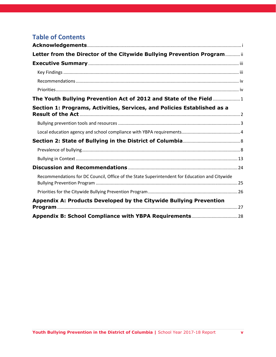#### **Schools have considerably different needs with regard to school climate.**

The average scores across schools provide useful information about how the District is doing as a whole, but they provide only minimal information about how to prioritize support. Individual school scores, on the other hand, provide tailored information about schools' successes and needs. Each school in the ISC-DC project has different strengths and areas for improvement, and different subgroups that perceive school climate more or less positively.

Table 6 presents the highest and lowest scoring domains as well as areas with the biggest gap by subgroup for each school participating in ISC-DC in school year 2017-18. Schools are de-identified, consistent with our agreements with each school for participation in ISC-DC. A given subdomain (e.g., substance use) may appear as the most positive for some schools and the least positive for others. For some schools (e.g., School 7), the lowest scoring subdomains are fairly close in score to the highest scoring subdomains; other schools (e.g., School 19) have large disparities between perceptions of the most and least positive aspects of the school. For most schools, all subdomain scores fall within the "favorable" benchmark, but five schools have one score that reached the "most favorable" benchmark (greater than 400), and five schools have at least one score in the "least favorable" benchmark range (less than 300).

The key takeaway from these school-level data is that a one-size-fits-all approach will not address the specific needs of each school. While bullying was among the lowest subdomains for 10 of the ISC-DC schools, this was not true for the remaining nine. These schools require support beyond bullying prevention to improve school climate. Additionally, although there are not moderate or large gaps between LGB and straight students, on average, across the ISC-DC schools, three schools' largest gaps were between these students.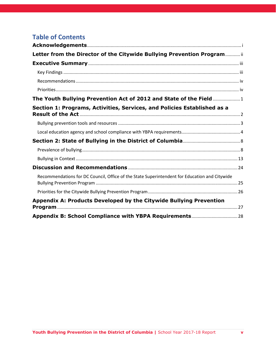|                 | <b>Highest Subdomains</b>                                                               | <b>Lowest Subdomains</b>                               | <b>Biggest Gap</b>                                         |
|-----------------|-----------------------------------------------------------------------------------------|--------------------------------------------------------|------------------------------------------------------------|
| School 1        | Instructional Environment (388) &                                                       | Bullying (324) &                                       | Substance Use by Grade                                     |
|                 | Disciplinary Environment (384)                                                          | Physical Environment (329)                             | (large gap)                                                |
| <b>School 2</b> | Instructional Environment (380) &                                                       | Physical Environment (290) &                           | Substance Use by Grade                                     |
|                 | Participation (363)                                                                     | Bullying (304)                                         | (large gap)                                                |
| <b>School 3</b> | Substance Use (375) &                                                                   | Physical Environment (283) &                           | Substance Use by Race                                      |
|                 | Mental Health (350)                                                                     | Bullying (304)                                         | (large gap)                                                |
| School 4        | Substance Use (410) & Participation                                                     | Physical Environment (302) &                           | <b>Emotional Safety by Race</b>                            |
|                 | (376)                                                                                   | Bullying (334)                                         | (moderate gap)                                             |
| <b>School 5</b> | Instructional Environment (360) &                                                       | Physical Environment (285) &                           | <b>Bullying by Grade (large</b>                            |
|                 | Substance Use (358)                                                                     | Bullying (311)                                         | gap)                                                       |
| School 6        | Instructional Environment (377) &<br><b>Cultural and Linguistic Competence</b><br>(373) | Substance Use (342) & Mental<br>Health (346)           | <b>Instructional Environment</b><br>by Race (large gap)    |
| <b>School 7</b> | Participation (375) &<br>Instructional Environment (369)                                | Emotional Safety (344) &<br>Physical Environment (346) | Substance Use by Sexual<br>Orientation (moderate<br>gap)   |
| <b>School 8</b> | Physical Safety (419) &                                                                 | Disciplinary Environment (351)                         | Substance Use by Race                                      |
|                 | Bullying (397)                                                                          | & Substance Use (326)                                  | large gap)                                                 |
| <b>School 9</b> | Participation (370) &                                                                   | <b>Bullying (305) &amp;</b>                            | Substance Use by Grade                                     |
|                 | Instructional Environment (370)                                                         | Physical Environment (311)                             | (large gap)                                                |
| School 10       | Substance Use (388) &                                                                   | Physical Environment (323) &                           | Substance Use by Gender                                    |
|                 | Physical Safety (366)                                                                   | Mental Health (336)                                    | (large gap)                                                |
| School 11       | Participation (383) &<br>Instructional Environment (377)                                | Physical Environment (317) &<br>Bullying (320)         | <b>Bullying by Sexual</b><br>Orientation (moderate<br>gap) |
| School 12       | Substance Use (454) & Physical                                                          | Physical Environment (310) &                           | <b>Bullying by Sexual</b>                                  |
|                 | Safety (381)                                                                            | Bullying (342)                                         | Orientation (large gap)                                    |
| School 13       | Substance Use (382) & Participation                                                     | Physical Environment (305) &                           | Substance Use by Race                                      |
|                 | (365)                                                                                   | Bullying (321)                                         | (large gap)                                                |
| School 14       | Substance Use (367) & Instructional                                                     | Bullying (314) & Physical                              | Substance Use by Race                                      |
|                 | Environment (365)                                                                       | Environment (314)                                      | (large gap)                                                |
| School 15       | Substance Use (399) & Disciplinary<br>Environment (348)                                 | Physical Environment (277) &<br>Emotional Safety (292) | $\qquad \qquad -$                                          |
| School 16       | Substance Use (406) & Instructional                                                     | Physical Environment (301) &                           | <b>Bullying by Grade</b>                                   |
|                 | Environment (361)                                                                       | Emotional Safety (320)                                 | (moderate gap)                                             |
| School 17       | Substance Use (410) & Physical                                                          | Physical Environment (269) &                           | Substance Use by Race                                      |
|                 | Safety (350)                                                                            | Mental Health (313)                                    | (large gap)                                                |
| School 18       | Substance Use (410) & Physical                                                          | Physical Environment (319) &                           | Substance Use by Race                                      |
|                 | Safety (370)                                                                            | Emotional Safety (327)                                 | (large gap)                                                |
| School 19       | Instructional Environment (386) &<br><b>Disciplinary Environment (353)</b>              | Substance Use (271) & Bullying<br>(289)                |                                                            |

**Table 6.** Highest and Lowest Subdomain Scores and Biggest Gaps for Schools Participating in ISC-DC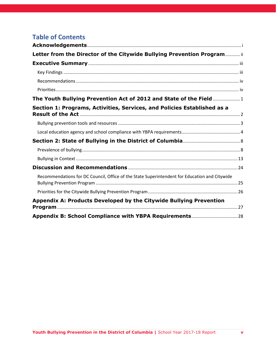#### **Perceptions of bullying also vary widely between schools.**

Beyond overall domain and subdomain scores, the ED-SCLS individual items provide a more granular picture of the specific issues ISC-DC schools are facing. This section focuses on the six items that make up the bullying subdomain, as well as an item from the relationships subdomain focused on support for sexual assault and dating violence (included because many issues related to sexual harassment and dating violence in school may be covered by the YPBA). Table 7 presents the percentage of students overall and at each ISC-DC school who agreed or strongly agreed with each statement. Except for two statements (students at this school try to stop bullying; there is a teacher who students can go to for help), agreeing with the statements indicates a more negative perception of the school climate.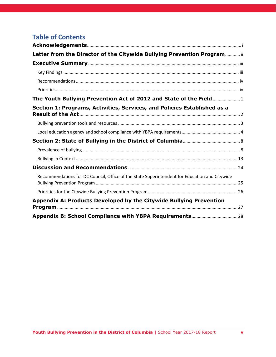|                | <b>Students at</b><br>this school<br>are often<br>bullied | <b>Students often</b><br>spread mean<br>rumors or lies<br>about others at<br>this school on the<br>internet | <b>Students at</b><br>this school try<br>to stop<br>bullying | <b>Students at this</b><br>school are teased<br>or picked on<br>about their race or<br>ethnicity | <b>Students at this</b><br>school are teased<br>or picked on<br>about their<br>cultural<br>background | <b>Students at</b><br>this school are<br>teased or<br>picked on<br>about their<br>physical or<br>mental<br>disability | <b>Students at</b><br>this school are<br>teased or<br>picked on<br>about their<br>real or<br>perceived<br>sexual<br>orientation | At this school,<br>there is a teacher<br>or some other<br>adult who students<br>can go to if they<br>need<br>help because of<br>sexual assault or<br>dating violence. |
|----------------|-----------------------------------------------------------|-------------------------------------------------------------------------------------------------------------|--------------------------------------------------------------|--------------------------------------------------------------------------------------------------|-------------------------------------------------------------------------------------------------------|-----------------------------------------------------------------------------------------------------------------------|---------------------------------------------------------------------------------------------------------------------------------|-----------------------------------------------------------------------------------------------------------------------------------------------------------------------|
| <b>Overall</b> | 37%                                                       | 54%                                                                                                         | 59%                                                          | 25%                                                                                              | 29%                                                                                                   | 40%                                                                                                                   | 33%                                                                                                                             | 81%                                                                                                                                                                   |
| School 1       | 43%                                                       | 61%                                                                                                         | 61%                                                          | 20%                                                                                              | 35%                                                                                                   | 44%                                                                                                                   | 40%                                                                                                                             | 80%                                                                                                                                                                   |
| School 2       | 61%                                                       | 71%                                                                                                         | 58%                                                          | 31%                                                                                              | 45%                                                                                                   | 50%                                                                                                                   | 47%                                                                                                                             | 75%                                                                                                                                                                   |
| School 3       | 57%                                                       | 66%                                                                                                         | 50%                                                          | 40%                                                                                              | 50%                                                                                                   | 62%                                                                                                                   | 30%                                                                                                                             | 69%                                                                                                                                                                   |
| School 4       | 36%                                                       | 52%                                                                                                         | 58%                                                          | 40%                                                                                              | 37%                                                                                                   | 39%                                                                                                                   | 22%                                                                                                                             | 78%                                                                                                                                                                   |
| School 5       | 56%                                                       | 58%                                                                                                         | 52%                                                          | 35%                                                                                              | 53%                                                                                                   | 33%                                                                                                                   | 27%                                                                                                                             | 77%                                                                                                                                                                   |
| School 6       | 29%                                                       | 35%                                                                                                         | 49%                                                          | 26%                                                                                              | 31%                                                                                                   | 24%                                                                                                                   | 22%                                                                                                                             | 84%                                                                                                                                                                   |
| School 7       | 31%                                                       | 57%                                                                                                         | 64%                                                          | 13%                                                                                              | 24%                                                                                                   | 28%                                                                                                                   | 33%                                                                                                                             | 88%                                                                                                                                                                   |
| School 8       | 3%                                                        | 38%                                                                                                         | 81%                                                          | 7%                                                                                               | 6%                                                                                                    | 9%                                                                                                                    | 11%                                                                                                                             | 93%                                                                                                                                                                   |
| School 9       | 61%                                                       | 79%                                                                                                         | 51%                                                          | 38%                                                                                              | 41%                                                                                                   | 51%                                                                                                                   | 38%                                                                                                                             | 78%                                                                                                                                                                   |
| School 10      | 35%                                                       | 54%                                                                                                         | 59%                                                          | 22%                                                                                              | 23%                                                                                                   | 44%                                                                                                                   | 32%                                                                                                                             | 82%                                                                                                                                                                   |
| School 11      | 33%                                                       | 71%                                                                                                         | 61%                                                          | 31%                                                                                              | 30%                                                                                                   | 50%                                                                                                                   | 46%                                                                                                                             | 91%                                                                                                                                                                   |
| School 12      | 41%                                                       | 43%                                                                                                         | 71%                                                          | 32%                                                                                              | 32%                                                                                                   | 38%                                                                                                                   | 33%                                                                                                                             | 87%                                                                                                                                                                   |
| School 13      | 46%                                                       | 57%                                                                                                         | 44%                                                          | 30%                                                                                              | 33%                                                                                                   | 50%                                                                                                                   | 45%                                                                                                                             | 86%                                                                                                                                                                   |
| School 14      | 42%                                                       | 70%                                                                                                         | 59%                                                          | 38%                                                                                              | 45%                                                                                                   | 40%                                                                                                                   | 49%                                                                                                                             | 82%                                                                                                                                                                   |
| School 15      | 52%                                                       | 69%                                                                                                         | 62%                                                          | 15%                                                                                              | 23%                                                                                                   | 56%                                                                                                                   | 30%                                                                                                                             | 65%                                                                                                                                                                   |
| School 16      | 43%                                                       | 60%                                                                                                         | 19%                                                          | 25%                                                                                              | 33%                                                                                                   | 46%                                                                                                                   | 37%                                                                                                                             | 64%                                                                                                                                                                   |
| School 17      | 37%                                                       | 50%                                                                                                         | 67%                                                          | 38%                                                                                              | 33%                                                                                                   | 56%                                                                                                                   | 47%                                                                                                                             | 80%                                                                                                                                                                   |
| School 18      | 30%                                                       | 39%                                                                                                         | 48%                                                          | 24%                                                                                              | 25%                                                                                                   | 31%                                                                                                                   | 34%                                                                                                                             | 77%                                                                                                                                                                   |
| School 19      | 54%                                                       | 64%                                                                                                         | 64%                                                          | 46%                                                                                              | 33%                                                                                                   | 62%                                                                                                                   | 54%                                                                                                                             | 77%                                                                                                                                                                   |

### Table 7. Percentage of students responding "Agree" or "Strongly Agree" to selected school climate items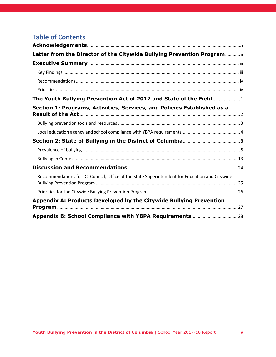Across all ISC-DC schools, over one-third (37 percent) agree that students are often bullied at their school. This means that nearly two thirds do not agree with this statement. However, the percentage of students who agree with this statement varies considerably across schools, ranging from 3 percent to 61 percent. Interestingly, a higher percentage of students agree that students at their school spread rumors and lies online (59 percent). This contrasts with findings from the YRBS suggesting that cyberbullying is less prevalent than traditional bullying behaviors. On a more positive note, nearly three in five students (59 percent) agree that students try to stop bullying when it occurs. This, too, varies considerably across schools, ranging from 19 percent to 81 percent.

The vast majority of students (81 percent) feel there is at least one adult at school they can talk to about sexual assault or dating violence. This is consistent across schools, with a smaller range of 64 percent to 93 percent at each school agreeing with this statement.

#### **School climate significantly contributes to a student's likelihood of being bullied.**

As part of the 2017-18 administration of the ED-SCLS, students were additionally asked to respond to three items related to their personal experiences of school safety, including an item asking if they had been bullied at school since the start of the school year. Percentages of students who reported being bullied at the middle and high school levels are noted in Table 8. Compared to the district-wide sample for the 2017 YRBS, a smaller percentage of students at ISC-DC schools reported being bullied at both the middle school (24 percent ISC-DC; 30.8 percent YRBS) and high school (9.4 percent ISC-DC, 11.5 percent YRBS) levels.

#### **Table 8.** Rates of Bullying at ISC-DC Schools and 2017 YRBS

|                      | <b>ISC-DC</b><br><b>Sample</b> | <b>2017 YRBS</b> |
|----------------------|--------------------------------|------------------|
| <b>Middle School</b> | 24.0%                          | 30.8%            |
| <b>High School</b>   | 9.4%                           | 11.5%            |

To demonstrate the association between school climate and bullying, we used logistic regressions to predict a student's likelihood of being bullied based on their school's overall average school climate score (the average of the engagement, safety, and environment domains). The model controls for a student's level in school (middle or high school), gender, and sexual orientation. In Table 9 below, these are identified by the reference group for whom the coefficient is relevant. For example, middle school students are significantly more likely than high school students to be bullied; transgender students are significantly more likely than cisgender students to be bullied. Even after controlling for these individual risk factors, school climate is significantly associated with odds of being bullied. Specifically, for every 10 additional school climate scale points, students are 11 percent less likely to be bullied. Table 8 presents the coefficients for the full model.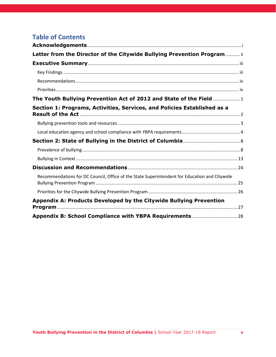**Table 9.** Logistic Regression Coefficients Predicting Being Bullied

|                                     | β       | p value | <b>Odds Ratio</b> |
|-------------------------------------|---------|---------|-------------------|
| <b>Average School Climate Score</b> | $-0.01$ | 0.03    | 0.99              |
| <b>Middle School</b>                | 0.99    | < 0.001 | 2.68              |
| <b>Cisgender Female</b>             | $-1.48$ | < 0.001 | 0.23              |
| <b>Transgender</b>                  | 1.34    | < 0.001 | 3.84              |
| <b>LGB</b>                          | 0.34    | 0.01    | 1.40              |

## <span id="page-28-0"></span>**Discussion and Recommendations**

School year 2017-18 marked five years since the passage of the Youth Bullying Prevention Act. In that time, with the support of the Youth Bullying Prevention Program at the Office of Human Rights, all LEAs (with the exception of two newly established charter LEAs) have adopted a policy complaint with the Act. With this fundamental first step completed, this report aimed to look beyond the establishment of policy to how schools are implementing the other requirements of the YBPA and its associated regulations. Before this report, schools were not held accountable to these requirements. It is not surprising, then, that fewer than one in six schools (16 percent) are fully complaint. It is not easy for schools to implement all of the YBPA required components: establishing new systems for documenting and tracking both reports and confirmed incidents of bullying, implementing comprehensive training on the Act, and widely disseminating the policy to students and families. The low level of full compliance with the Act demonstrates that policy alone will not change existing procedures and practices at a school; implementation and accountability for that implementation are critical. Over the coming year, the Office of Human Rights plans to continue to remind schools of their obligations under the YBPA through the monthly newsletter and continued direct outreach to Bullying Points of Contacts.

Still, Washington D.C.'s rates of bullying at both the middle and high school levels are among the lowest in the nation. Unfortunately, rates of cyberbullying at the high school level and bullying at the middle school level were significantly higher in 2017 than in 2015, even as national rates held steady. It may be that as students become more aware of bullying, especially with implementation of the YBPA, that these increases reflect better recognition of the issue. However, these statistics underscore the critical need to ensure schools implement the YBPA with fidelity.

Incident rates reported by schools on both the 2015-16 CRDC and the broader 2017-18 YBPA suggest much lower rates of bullying compared to student-reported rates on the YRBS. As noted in the 2015-16 report, there are several reasons for these discrepancies, including differing definitions between data collections, students' reluctance to report bullying experiences, and reluctance of school officials to label behaviors as bullying. Some combination of these issues likely contributes to these discrepancies. It is especially notable that for both the CRDC and YBPA collection, around one-third (36 percent and 28 percent, respectively) reported having zero reports of bullying. Although this statistic may be valid in some schools—particularly those that primarily serve youth outside the typical definition of "school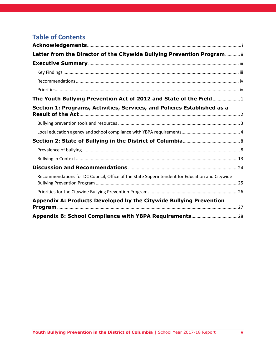aged" (5-18 years old)—it more likely reflects schools' not recording or not reporting allegations they received. Still, reporting on both collections improved from our previous report and may continue to improve with increased scrutiny.

Incident data are insufficient to understand the full context of bullying in District schools; school climate data offer a much more nuanced understanding of the successes and challenges these schools face. Although the data from the Improving School Climate in DC project shared in this report represent only a handful of middle and high schools across the District, they illustrate the utility of having valid, consistent, and comparable school climate metrics across schools. A positive school climate is critical for bullying prevention; moreover, it is essential for promoting academic achievement and preventing chronic absenteeism and a host of other negative outcomes.<sup>13</sup> Schools can use school climate data to identify needs and target resources to address them. At the District level, these data help demonstrate that a one-size-fits-all approach will not work for all schools.

Schools are currently using a variety of approaches to address bullying and school climate. Notably, although schools reported using predominately exclusionary discipline techniques to address bullying incidents in the 2015-16 school year, nearly half of all incidents (43 percent) were addressed at least in part through restorative justice techniques. As noted in the Section 1, however, restorative justice techniques may further traumatize a bullied student if they are not implemented with the full buy-in of the students involved.<sup>14</sup> Schools should be applauded for applying more supportive approaches to bullying, but they should also receive further guidance to ensure such approaches are implemented effectively.

The Citywide Bullying Prevention through the Office of Human Rights will continue working and supporting schools to implement the YBPA and implement effective practices for bullying prevention over the coming year. Additional support is necessary to ensure that all schools not only reach full compliance with the YBPA, but also take the broad steps necessary to significantly reduce rates of bullying in the District. To that end, we provide the following action steps for the Bullying Prevention Program and recommendations to Council:

## <span id="page-29-0"></span>**Recommendations for DC Council, Office of the State Superintendent for Education and Citywide Bullying Prevention Program**

• **Ensure the implementation plan for expanding school climate surveys to all schools serving grades 6-12 in SY 2020-21 relies on a single, valid, school climate measurement tool.** The Youth Suicide Prevention and School Climate Measurement Act require the Office of the State Superintendent for Education (OSSE) to submit a plan to expand school climate surveys by December 2019. It is critical that such a plan focus on a consistent measurement tool to allow the District to prioritize support and track changes over time. Data from different measurement

**Youth Bullying Prevention in the District of Columbia |** School Year 2017-18 Report **25** 

l

<sup>13</sup> Thapa, A., Cohen, J., Guffey, S., & Higgins-D'Alessandro, A. (2013). A review of school climate research. *Review of educational research*, 83(3), 357-385.

<sup>&</sup>lt;sup>14</sup> Molnar-Main, S., Bisbing, K., Blackburn, S., Galkowski, L., Garrity, R., Morris, C., ... & Singer, J. (2014). Integrating bullying prevention and restorative practices in schools: Considerations for practitioners and policy-makers. Center for Safe Schools, Clemson Institute on Family and Neighborhood Life, Highmark Foundation. Retrieved from http://www. safeschools. info/content/BPRPWhitePaper2014. pdf.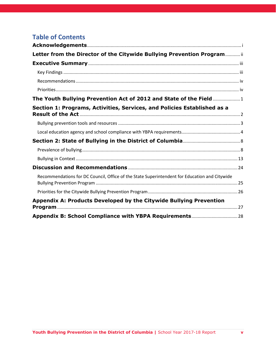tools cannot be compared*: The Citywide Bullying Prevention Program will continue to work with OSSE and the Council, to ensure the final plan prioritizes data that are universal and actionable*.

## <span id="page-30-0"></span>**Priorities for the Citywide Bullying Prevention Program**

- **Support schools' implementation of all elements of the YBPA.** The Citywide Bullying Prevention will continue to work with school bullying points of contact to ensure they understand the requirements of the YBPA and have resources to support the implementation of the four basic requirements (policy; data collection and reporting; policy dissemination; staff training).
- **Disseminate best practices to ensure effective responses to bullying incidents.** The Citywide Bullying Prevention Program will build off the District's existing initiatives to adopt traumainformed approaches and address over-reliance on exclusionary discipline by helping schools:
	- o *Ensure all allegations of bullying are met with a trauma informed response*. When a school receives a report of bullying, the first priority must be to ensure the safety and well-being of the student. This response involves establishing a support plan that validates the student's feelings, builds trust, provides supports based on individual needs, and builds resilience skills to recover from the trauma. Students who are aggressive also need a trauma-informed approach to identify the underlying needs and issues that can be addressed to stop the behavior.
	- o *Determine the nature of the incident before applying a solution*. It is often difficult at first to distinguish fights from bullying and bullying from conflict. It takes time to understand the nature and source of the behavior. Until the power dynamic has been assessed, the school should not rush to mediation or even restorative practices. Mediation and restorative practices are often used to respond to conflict, but they may not be appropriate for bullying incidents. When used for bullying, restorative practices must be conducted with the full buy-in of all students involved. Further, regardless of whether an incident is confirmed as bullying or is instead a conflict, relationship abuse, or another form of aggression, knowing the root cause is critical to providing the right support.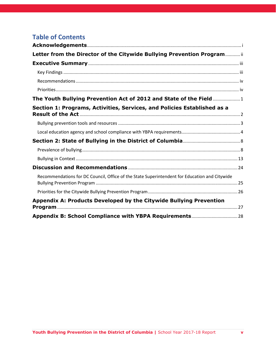## <span id="page-31-0"></span>**Appendix A: Products Developed by the Citywide Bullying Prevention Program**

Each of the products can be downloaded through the provided hyperlinks. They are also available on the Citywide Bullying Prevention Program website: [https://ohr.dc.gov/page/bullyingprevention.](https://ohr.dc.gov/page/bullyingprevention)

#### **Web Portal**

**Know Your Policy Web Portal**. The web portal provides parents and guardians with access to critical bullying prevention information for educational institutions and youth-serving government agencies.

#### **Tipsheets**

**[Responding](https://ohr.dc.gov/sites/default/files/dc/sites/ohr/publication/attachments/DCOHR%20responding%20to%20bullying%20trauma.pdf) to Reports of Bullying Tip Sheet.** Framed through a trauma-informed lens, this tip sheet provides schools tips with how to support students who report bullying experiences. **[Teacher](https://ohr.dc.gov/sites/default/files/dc/sites/ohr/page_content/attachments/DC-OHR%20tip%20sheet%20focus%20on%20prevention%208.23.pdf) Tip Sheet.** This tip sheet provides teachers with quick tips for preventing and responding to bullying in their classrooms.

**Tips for Parents [Brochure.](https://ohr.dc.gov/sites/default/files/dc/sites/ohr/publication/attachments/TipsForParentsBrochure_100215.pdf)** This brochure provides tips for parents who suspect their children may be experiencing bullying.

**What You Need to Know About [Bullying.](https://ohr.dc.gov/sites/default/files/dc/sites/ohr/page_content/attachments/WhatIsBullyingFlyer_0.pdf)** The fact sheet helps individuals identify and understand bullying.

#### **Training Toolkit**

**Bullying Prevention & [Intervention](https://ohr.dc.gov/node/1061302) in DC Educational Institutions Training Toolkit.** The toolkit provides everything a school, agency or other institutions needs to conduct an effective bullying prevention and intervention training.

#### **Monthly Newsletters**

- **[Edition](http://mailchi.mp/854f8c02f66a/monthly-bullying-prevention-notes?e=%5bUNIQID%5d) One** November 2017
- **[Edition](http://mailchi.mp/254421f4d0af/monthly-bullying-prevention-notes-264675?e=%5bUNIQID%5d) Two -** December 2017
- **[Edition](https://us16.campaign-archive.com/?u=2dcd6a778a067d2b0f01fd186&id=5037c6fae1) Three -** January 2018
- **[Edition](https://us16.campaign-archive.com/?u=2dcd6a778a067d2b0f01fd186&id=b5f2c4499f) Four -** February 2018
- **[Edition](https://us16.campaign-archive.com/?u=2dcd6a778a067d2b0f01fd186&id=ecd7d38f63) Five -** March 2018
- **[Edition](https://us16.campaign-archive.com/?u=2dcd6a778a067d2b0f01fd186&id=3e55bdc3e4) Six -** April 2018
- **[Edition](https://us16.campaign-archive.com/?e=&u=2dcd6a778a067d2b0f01fd186&id=113073d01b) Seven -** May 2018
- **[Edition](https://mailchi.mp/9a60c6485ddb/monthly-bullying-prevention-notes?e=ac84a43450) Eight -** September 2018
- **[Edition](https://mailchi.mp/7c0b322d7f87/monthly-bullying-prevention-notes) Nine -** October 2018

#### **Previous Biennial Reports**

**Bullying Prevention in District of Columbia [Educational](https://ohr.dc.gov/node/922102) Institutions Report: 2013-2014 Bullying Prevention in District of Columbia [Educational](https://ohr.dc.gov/sites/default/files/dc/sites/ohr/publication/attachments/YBP%20Biennial%20Report%202016_Rev_03082017.pdf) Institutions Report: 2015-2016**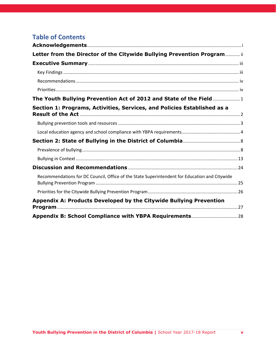# <span id="page-32-0"></span>**Appendix B: School Compliance with YBPA Requirements**

| <b>School Name</b>                                        | <b>LEA</b>                                           | <b>Provided</b><br><b>Data</b> | <b>Compliant</b><br><b>Policy on</b><br><b>Website</b> <sup>b</sup> | <b>Provided Staff</b><br><b>Training</b> |
|-----------------------------------------------------------|------------------------------------------------------|--------------------------------|---------------------------------------------------------------------|------------------------------------------|
|                                                           | Academy of Hope Adult                                |                                |                                                                     |                                          |
| Academy of Hope Adult PCS                                 | <b>PCS</b>                                           | Yes <sup>3</sup>               | <b>No</b>                                                           | Yes <sup>^</sup>                         |
| <b>Achievement Preparatory Academy</b>                    |                                                      |                                |                                                                     |                                          |
| PCS - Wahler Place Elementary                             | <b>Achievement Preparatory</b>                       |                                |                                                                     |                                          |
| School                                                    | <b>Academy PCS</b>                                   | Yes                            | Yes                                                                 | Yes                                      |
| <b>Achievement Preparatory Academy</b>                    | <b>Achievement Preparatory</b>                       |                                |                                                                     |                                          |
| PCS - Wahler Place Middle School                          | <b>Academy PCS</b>                                   | Yes                            | Yes                                                                 | Yes                                      |
| Aiton Elementary School                                   | <b>DCPS</b>                                          | Yes                            | <b>No</b>                                                           | <b>No</b>                                |
| Amidon-Bowen Elementary School                            | <b>DCPS</b>                                          | Yes                            | <b>No</b>                                                           | <b>No</b>                                |
| Anacostia High School                                     | <b>DCPS</b>                                          | Yes                            | <b>No</b>                                                           | <b>No</b>                                |
| AppleTree Early Learning Center PCS<br>- Columbia Heights | AppleTree Early Learning<br><b>Center PCS</b>        | Yes <sup>3</sup>               | Yes                                                                 | <b>No</b>                                |
| AppleTree Early Learning Center PCS<br>- Lincoln Park     | AppleTree Early Learning<br><b>Center PCS</b>        | Yes <sup>3</sup>               | Yes                                                                 | Yes <sup>^</sup>                         |
| AppleTree Early Learning Center PCS<br>- Oklahoma Avenue  | AppleTree Early Learning<br><b>Center PCS</b>        | Yes <sup>3</sup>               | Yes                                                                 | <b>No</b>                                |
| AppleTree Early Learning Center PCS<br>- Southwest        | <b>AppleTree Early Learning</b><br><b>Center PCS</b> | Yes <sup>3</sup>               | Yes                                                                 | N <sub>o</sub>                           |
| <b>Ballou High School</b>                                 | <b>DCPS</b>                                          | Yes                            | <b>No</b>                                                           | Yes                                      |
| <b>Ballou STAY High School</b>                            | <b>DCPS</b>                                          | Yes                            | <b>No</b>                                                           | <b>No</b>                                |
| Bancroft Elementary School @                              |                                                      |                                |                                                                     |                                          |
| Sharpe                                                    | <b>DCPS</b>                                          | Yes                            | Yes                                                                 | <b>No</b>                                |
| <b>Barnard Elementary School</b>                          | <b>DCPS</b>                                          | Yes                            | <b>No</b>                                                           | Yes                                      |
| <b>BASIS DC PCS</b>                                       | <b>BASIS DC PCS</b>                                  | Yes                            | <b>No</b>                                                           | Yes <sup>^</sup>                         |
| <b>Beers Elementary School</b>                            | <b>DCPS</b>                                          | Yes                            | <b>No</b>                                                           | Yes                                      |
| Benjamin Banneker High School                             | <b>DCPS</b>                                          | Yes                            | <b>No</b>                                                           | Yes                                      |
|                                                           | Breakthrough Montessori                              |                                |                                                                     |                                          |
| Breakthrough Montessori PCS                               | <b>PCS</b>                                           | Yes                            | <b>No</b>                                                           | <b>No</b>                                |

<sup>1</sup>School did not respond to data collection request or indicated they could not provide data

<sup>2</sup>School indicated 0 reported incidents of bullying

<sup>3</sup>School indicated 0 reported incidents of bullying but is a school that primarily serves young adults, early childhood, or online. In such cases, zero reported incidents may be valid. These schools are considered compliant

<sup>b</sup>Schools listed as "No" either: (1) indicated that their policy was not on their website or they did not know, or (2) indicated that the policy was on the website but it either was not found or was not compliant withthe YBPA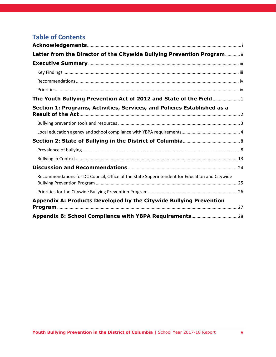| <b>School Name</b>                                   | <b>LEA</b>                                   | <b>Provided</b><br><b>Data</b> | <b>Compliant</b><br><b>Policy on</b><br><b>Website</b> <sup>b</sup> | <b>Provided Staff</b><br><b>Training</b> |
|------------------------------------------------------|----------------------------------------------|--------------------------------|---------------------------------------------------------------------|------------------------------------------|
| <b>Brent Elementary School</b>                       | <b>DCPS</b>                                  | Yes                            | <b>No</b>                                                           | <b>No</b>                                |
| <b>Bridges PCS</b>                                   | <b>Bridges PCS</b>                           | Yes                            | Yes                                                                 | <b>No</b>                                |
| <b>Brightwood Education Campus</b>                   | <b>DCPS</b>                                  | Yes                            | <b>No</b>                                                           | <b>No</b>                                |
| <b>Briya PCS</b>                                     | <b>Briya PCS</b>                             | Yes <sup>3</sup>               | <b>No</b>                                                           | <b>No</b>                                |
| <b>Brookland Middle School</b>                       | <b>DCPS</b>                                  | Yes                            | <b>No</b>                                                           | Yes <sup>^</sup>                         |
| <b>Browne Education Campus</b>                       | <b>DCPS</b>                                  | Yes                            | <b>No</b>                                                           | <b>No</b>                                |
| Bruce-Monroe Elementary School @<br>Park View        | <b>DCPS</b>                                  | Yes                            | <b>No</b>                                                           | <b>No</b>                                |
| <b>Bunker Hill Elementary School</b>                 | <b>DCPS</b>                                  | Yes                            | <b>No</b>                                                           | <b>No</b>                                |
| <b>Burroughs Elementary School</b>                   | <b>DCPS</b>                                  | Yes                            | <b>No</b>                                                           | Yes <sup>^</sup>                         |
| <b>Burrville Elementary School</b>                   | <b>DCPS</b>                                  | Yes                            | <b>No</b>                                                           | No.                                      |
| C.W. Harris Elementary School                        | <b>DCPS</b>                                  | Yes                            | <b>No</b>                                                           | Yes                                      |
| Capital City PCS - High School                       | <b>Capital City PCS</b>                      | Yes                            | Yes                                                                 | Yes <sup>^</sup>                         |
| Capital City PCS - Lower School                      | Capital City PCS                             | No <sup>2</sup>                | Yes                                                                 | Yes                                      |
| Capital City PCS - Middle School                     | Capital City PCS                             | Yes                            | Yes                                                                 | <b>No</b>                                |
| Capitol Hill Montessori School @<br>Logan            | <b>DCPS</b>                                  | No <sup>1</sup>                | <b>No</b>                                                           | <b>No</b>                                |
| <b>Cardozo Education Campus</b>                      | <b>DCPS</b>                                  | Yes                            | <b>No</b>                                                           | Yes                                      |
|                                                      | Carlos Rosario                               |                                |                                                                     |                                          |
| <b>Carlos Rosario International PCS</b>              | <b>International PCS</b>                     | No <sup>2</sup>                | Yes                                                                 | <b>No</b>                                |
| <b>Cedar Tree Academy PCS</b>                        | <b>Cedar Tree Academy PCS</b>                | Yes <sup>3</sup>               | <b>No</b>                                                           | Yes                                      |
| Center City PCS - Brightwood                         | Center City PCS                              | No <sup>2</sup>                | <b>No</b>                                                           | Yes <sup>^</sup>                         |
| Center City PCS - Capitol Hill                       | Center City PCS                              | Yes                            | <b>No</b>                                                           | Yes <sup>^</sup>                         |
| Center City PCS - Congress Heights                   | Center City PCS                              | No <sup>2</sup>                | <b>No</b>                                                           | <b>No</b>                                |
| Center City PCS - Petworth                           | Center City PCS                              | No <sup>2</sup>                | <b>No</b>                                                           | <b>No</b>                                |
| Center City PCS - Shaw                               | Center City PCS                              | No <sup>2</sup>                | <b>No</b>                                                           | <b>No</b>                                |
| Center City PCS - Trinidad                           | Center City PCS                              | Yes                            | <b>No</b>                                                           | Yes <sup>^</sup>                         |
| Cesar Chavez PCS for Public Policy -<br>Capitol Hill | <b>Cesar Chavez PCS for Public</b><br>Policy | Yes                            | <b>No</b>                                                           | <b>No</b>                                |

<sup>2</sup>School indicated 0 reported incidents of bullying

<sup>3</sup>School indicated 0 reported incidents of bullying but is a school that primarily serves young adults, early childhood, or online. In such cases, zero reported incidents may be valid. These schools are considered compliant

<sup>b</sup>Schools listed as "No" either: (1) indicated that their policy was not on their website or they did not know, or (2) indicated that the policy was on the website but it either was not found or was not compliant withthe YBPA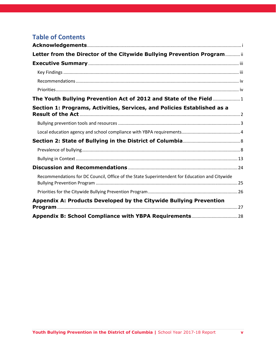| <b>School Name</b>                                             | <b>LEA</b>                                                 | <b>Provided</b><br><b>Data</b> | <b>Compliant</b><br><b>Policy on</b><br><b>Website</b> <sup>b</sup> | <b>Provided Staff</b><br><b>Training</b> |
|----------------------------------------------------------------|------------------------------------------------------------|--------------------------------|---------------------------------------------------------------------|------------------------------------------|
| Cesar Chavez PCS for Public Policy -<br>Chavez Prep            | <b>Cesar Chavez PCS for Public</b><br>Policy               | No <sup>2</sup>                | <b>No</b>                                                           | <b>No</b>                                |
| Cesar Chavez PCS for Public Policy -<br>Parkside High School   | <b>Cesar Chavez PCS for Public</b><br>Policy               | Yes                            | <b>No</b>                                                           | <b>No</b>                                |
| Cesar Chavez PCS for Public Policy -<br>Parkside Middle School | <b>Cesar Chavez PCS for Public</b><br>Policy               | No <sup>2</sup>                | <b>No</b>                                                           | <b>No</b>                                |
| CHOICE Academy @ Wash Met                                      | <b>DCPS</b>                                                | No <sup>1</sup>                | <b>No</b>                                                           | <b>No</b>                                |
| City Arts & Prep PCS                                           | City Arts & Prep PCS                                       | Yes                            | <b>No</b>                                                           | <b>No</b>                                |
| <b>Cleveland Elementary School</b>                             | <b>DCPS</b>                                                | No <sup>1</sup>                | <b>No</b>                                                           | Yes <sup>^</sup>                         |
| <b>Columbia Heights Education Campus</b>                       | <b>DCPS</b>                                                | Yes                            | <b>No</b>                                                           | Yes                                      |
| <b>Community College Preparatory</b><br>Academy PCS            | <b>Community College</b><br><b>Preparatory Academy PCS</b> | Yes <sup>3</sup>               | Yes                                                                 | Yes <sup>^</sup>                         |
| Coolidge High School                                           | <b>DCPS</b>                                                | No <sup>2</sup>                | <b>No</b>                                                           | Yes                                      |
| <b>Creative Minds International PCS</b>                        | <b>Creative Minds</b><br><b>International PCS</b>          | Yes                            | <b>No</b>                                                           | <b>No</b>                                |
| DC Bilingual PCS                                               | <b>DC Bilingual PCS</b>                                    | Yes                            | Yes                                                                 | <b>No</b>                                |
| DC Prep PCS - Anacostia Elementary<br>School                   | DC Prep PCS                                                | No <sup>2</sup>                | <b>No</b>                                                           | Yes <sup>^</sup>                         |
| DC Prep PCS - Benning Elementary<br>School                     | DC Prep PCS                                                | No <sup>2</sup>                | <b>No</b>                                                           | Yes <sup>^</sup>                         |
| DC Prep PCS - Benning Middle School                            | DC Prep PCS                                                | Yes                            | <b>No</b>                                                           | Yes <sup>^</sup>                         |
| DC Prep PCS - Edgewood Elementary<br>School                    | DC Prep PCS                                                | No <sup>2</sup>                | <b>No</b>                                                           | Yes <sup>^</sup>                         |
| DC Prep PCS - Edgewood Middle<br>School                        | DC Prep PCS                                                | Yes                            | <b>No</b>                                                           | Yes <sup>^</sup>                         |
| <b>DC Scholars PCS</b>                                         | <b>DC Scholars PCS</b>                                     | Yes                            | <b>No</b>                                                           | <b>No</b>                                |
| Deal Middle School                                             | <b>DCPS</b>                                                | No <sup>1</sup>                | No                                                                  | <b>No</b>                                |
| <b>Democracy Prep Congress Heights</b><br><b>PCS</b>           | <b>Democracy Prep Congress</b><br><b>Heights PCS</b>       | Yes                            | Yes                                                                 | <b>No</b>                                |
| District of Columbia International<br>School                   | District of Columbia<br><b>International School</b>        | Yes                            | Yes                                                                 | <b>No</b>                                |
| Dorothy I. Height Elementary School                            | <b>DCPS</b>                                                | Yes                            | Yes                                                                 | Yes <sup>^</sup>                         |

<sup>2</sup>School indicated 0 reported incidents of bullying

<sup>3</sup>School indicated 0 reported incidents of bullying but is a school that primarily serves young adults, early childhood, or online. In such cases, zero reported incidents may be valid. These schools are considered compliant

<sup>b</sup>Schools listed as "No" either: (1) indicated that their policy was not on their website or they did not know, or (2) indicated that the policy was on the website but it either was not found or was not compliant withthe YBPA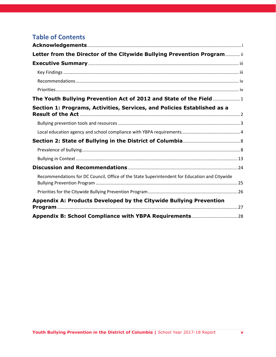| <b>School Name</b>                                       | <b>LEA</b>                                                  | <b>Provided</b><br><b>Data</b> | <b>Compliant</b><br><b>Policy on</b><br><b>Website</b> <sup>b</sup> | <b>Provided Staff</b><br><b>Training</b> |
|----------------------------------------------------------|-------------------------------------------------------------|--------------------------------|---------------------------------------------------------------------|------------------------------------------|
| Drew Elementary School                                   | <b>DCPS</b>                                                 | Yes                            | <b>No</b>                                                           | <b>No</b>                                |
| Duke Ellington School of the Arts                        | <b>DCPS</b>                                                 | Yes                            | <b>No</b>                                                           | Yes                                      |
| Dunbar High School                                       | <b>DCPS</b>                                                 | Yes                            | <b>No</b>                                                           | Yes <sup>^</sup>                         |
| E.L. Haynes PCS - Elementary School                      | E.L. Haynes PCS                                             | Yes                            | Yes                                                                 | Yes <sup>^</sup>                         |
| E.L. Haynes PCS - High School                            | E.L. Haynes PCS                                             | Yes                            | Yes                                                                 | Yes <sup>^</sup>                         |
| E.L. Haynes PCS - Middle School                          | E.L. Haynes PCS                                             | Yes                            | Yes                                                                 | Yes <sup>^</sup>                         |
| Eagle Academy PCS - Capitol<br>Riverfront                | Eagle Academy PCS                                           | Yes                            | <b>No</b>                                                           | <b>No</b>                                |
| Eagle Academy PCS - Congress<br>Heights                  | Eagle Academy PCS                                           | Yes                            | <b>No</b>                                                           | <b>No</b>                                |
| Early Childhood Academy PCS                              | Early Childhood Academy<br><b>PCS</b>                       | Yes <sup>3</sup>               | <b>No</b>                                                           | <b>Yes</b>                               |
| Eastern High School                                      | <b>DCPS</b>                                                 | Yes                            | <b>No</b>                                                           | Yes                                      |
| <b>Eaton Elementary School</b>                           | <b>DCPS</b>                                                 | Yes                            | <b>No</b>                                                           | Yes                                      |
| Eliot-Hine Middle School                                 | <b>DCPS</b>                                                 | Yes                            | <b>No</b>                                                           | <b>No</b>                                |
| Elsie Whitlow Stokes Community<br>Freedom PCS            | <b>Elsie Whitlow Stokes</b><br><b>Community Freedom PCS</b> | Yes                            | Yes                                                                 | Yes <sup>^</sup>                         |
| <b>Excel Academy PCS</b>                                 | <b>Excel Academy PCS</b>                                    | Yes                            | <b>No</b>                                                           | <b>No</b>                                |
| Friendship PCS - Armstrong                               | Friendship PCS                                              | Yes                            | Yes                                                                 | Yes                                      |
| Friendship PCS - Blow Pierce<br><b>Elementary School</b> | Friendship PCS                                              | No <sup>2</sup>                | Yes                                                                 | Yes                                      |
| Friendship PCS - Blow Pierce Middle<br>School            | Friendship PCS                                              | No <sup>2</sup>                | Yes                                                                 | Yes                                      |
| Friendship PCS - Chamberlain<br><b>Elementary School</b> | Friendship PCS                                              | Yes                            | Yes                                                                 | Yes                                      |
| Friendship PCS - Chamberlain Middle<br>School            | Friendship PCS                                              | No <sup>2</sup>                | Yes                                                                 | Yes                                      |
| Friendship PCS - Collegiate Academy                      | Friendship PCS                                              | Yes                            | Yes                                                                 | Yes                                      |
| Friendship PCS - Online                                  | Friendship PCS                                              | Yes <sup>3</sup>               | Yes                                                                 | Yes                                      |
| Friendship PCS - Southeast Academy                       | Friendship PCS                                              | Yes                            | Yes                                                                 | Yes                                      |
| Friendship PCS - Technology<br>Preparatory High School   | Friendship PCS                                              | Yes                            | Yes                                                                 | Yes                                      |

<sup>2</sup>School indicated 0 reported incidents of bullying

<sup>3</sup>School indicated 0 reported incidents of bullying but is a school that primarily serves young adults, early childhood, or online. In such cases, zero reported incidents may be valid. These schools are considered compliant

b Schools listed as "No" either: (1) indicated that their policy was not on their website or they did not know, or (2) indicated that the policy was on the website but it either was not found or was not compliant withthe YBPA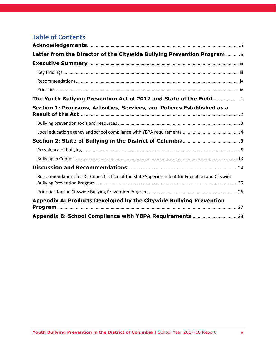| <b>School Name</b>                                                        | <b>LEA</b>                       | <b>Provided</b><br><b>Data</b> | <b>Compliant</b><br><b>Policy on</b><br><b>Website</b> <sup>b</sup> | <b>Provided Staff</b><br><b>Training</b> |
|---------------------------------------------------------------------------|----------------------------------|--------------------------------|---------------------------------------------------------------------|------------------------------------------|
| Friendship PCS - Technology                                               |                                  |                                |                                                                     |                                          |
| Preparatory Middle School                                                 | Friendship PCS                   | Yes                            | Yes                                                                 | Yes                                      |
| Friendship PCS - Woodridge                                                |                                  |                                |                                                                     |                                          |
| <b>Elementary School</b>                                                  | Friendship PCS                   | Yes                            | Yes                                                                 | Yes                                      |
| Friendship PCS - Woodridge Middle<br>School                               | Friendship PCS                   | No <sup>2</sup>                | Yes                                                                 | Yes                                      |
|                                                                           |                                  |                                |                                                                     |                                          |
| <b>Garfield Elementary School</b>                                         | <b>DCPS</b>                      | No <sup>2</sup>                | <b>No</b>                                                           | Yes                                      |
| <b>Garrison Elementary School</b><br><b>General Education Residential</b> | <b>DCPS</b>                      | Yes                            | <b>No</b>                                                           | <b>No</b>                                |
| Schools                                                                   | <b>DCPS</b>                      | No <sup>1</sup>                | <b>No</b>                                                           | <b>No</b>                                |
| <b>Goodwill Excel Center PCS</b>                                          | <b>Goodwill Excel Center PCS</b> | Yes                            | Yes                                                                 | <b>No</b>                                |
| H.D. Cooke Elementary School                                              | <b>DCPS</b>                      | Yes                            | <b>No</b>                                                           | <b>No</b>                                |
| H.D. Woodson High School                                                  | <b>DCPS</b>                      | Yes                            | <b>No</b>                                                           | <b>No</b>                                |
| Hardy Middle School                                                       | <b>DCPS</b>                      | Yes                            | <b>No</b>                                                           | Yes <sup>^</sup>                         |
| Harmony DC PCS - School of                                                | Harmony DC PCS - School          |                                |                                                                     |                                          |
| Excellence                                                                | of Excellence                    | No <sup>2</sup>                | <b>No</b>                                                           | <b>No</b>                                |
| Hart Middle School                                                        | <b>DCPS</b>                      | Yes                            | <b>No</b>                                                           | Yes <sup>^</sup>                         |
| <b>Hearst Elementary School</b>                                           | <b>DCPS</b>                      | Yes                            | <b>No</b>                                                           | Yes <sup>^</sup>                         |
| <b>Hendley Elementary School</b>                                          | <b>DCPS</b>                      | Yes                            | <b>No</b>                                                           | Yes                                      |
| Hope Community PCS - Lamond                                               | <b>Hope Community PCS</b>        | Yes                            | Yes                                                                 | Yes <sup>^</sup>                         |
| Hope Community PCS - Tolson                                               | <b>Hope Community PCS</b>        | Yes                            | Yes                                                                 | Yes <sup>^</sup>                         |
| <b>Houston Elementary School</b>                                          | <b>DCPS</b>                      | No <sup>1</sup>                | <b>No</b>                                                           | <b>No</b>                                |
|                                                                           | <b>Howard University Middle</b>  |                                |                                                                     |                                          |
| Howard University Middle School of                                        | School of Mathematics and        |                                |                                                                     |                                          |
| <b>Mathematics and Science PCS</b>                                        | <b>Science PCS</b>               | Yes                            | <b>No</b>                                                           | Yes                                      |
| Hyde-Addison Elementary School @<br>Meyer                                 | <b>DCPS</b>                      | Yes                            | <b>No</b>                                                           | <b>No</b>                                |
| <b>IDEA PCS</b>                                                           | <b>IDEA PCS</b>                  | Yes                            | <b>No</b>                                                           | Yes                                      |
| <b>Ideal Academy PCS</b>                                                  | <b>Ideal Academy PCS</b>         | No <sup>1</sup>                | <b>No</b>                                                           | <b>No</b>                                |
| <b>Ingenuity Prep PCS</b>                                                 | <b>Ingenuity Prep PCS</b>        | Yes                            | <b>No</b>                                                           | <b>No</b>                                |
|                                                                           | <b>Inspired Teaching</b>         |                                |                                                                     |                                          |
| <b>Inspired Teaching Demonstration PCS</b>                                | <b>Demonstration PCS</b>         | Yes                            | <b>No</b>                                                           | <b>No</b>                                |

<sup>2</sup>School indicated 0 reported incidents of bullying

<sup>3</sup>School indicated 0 reported incidents of bullying but is a school that primarily serves young adults, early childhood, or online. In such cases, zero reported incidents may be valid. These schools are considered compliant

<sup>b</sup>Schools listed as "No" either: (1) indicated that their policy was not on their website or they did not know, or (2) indicated that the policy was on the website but it either was not found or was not compliant withthe YBPA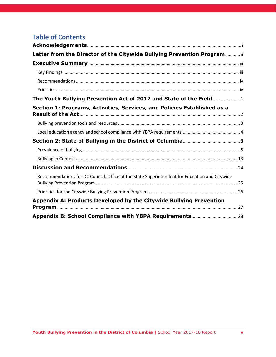| <b>School Name</b>                                  | <b>LEA</b>           | <b>Provided</b><br><b>Data</b> | <b>Compliant</b><br><b>Policy on</b><br><b>Website</b> <sup>b</sup> | <b>Provided Staff</b><br><b>Training</b> |
|-----------------------------------------------------|----------------------|--------------------------------|---------------------------------------------------------------------|------------------------------------------|
| <b>Inspiring Youth Program</b>                      | <b>DCPS</b>          | No <sup>1</sup>                | <b>No</b>                                                           | <b>No</b>                                |
| J.O. Wilson Elementary School                       | <b>DCPS</b>          | Yes                            | <b>No</b>                                                           | Yes                                      |
| Janney Elementary School                            | <b>DCPS</b>          | Yes                            | <b>No</b>                                                           | <b>No</b>                                |
| Jefferson Middle School Academy                     | <b>DCPS</b>          | Yes                            | <b>No</b>                                                           | <b>No</b>                                |
| Johnson Middle School                               | <b>DCPS</b>          | Yes                            | <b>No</b>                                                           | <b>No</b>                                |
| Kelly Miller Middle School                          | <b>DCPS</b>          | Yes                            | <b>No</b>                                                           | Yes                                      |
| Ketcham Elementary School                           | <b>DCPS</b>          | Yes                            | <b>No</b>                                                           | <b>No</b>                                |
| Key Elementary School                               | <b>DCPS</b>          | Yes                            | <b>No</b>                                                           | <b>No</b>                                |
| Kimball Elementary School @ Davis                   | <b>DCPS</b>          | Yes                            | <b>No</b>                                                           | <b>No</b>                                |
| King Elementary School                              | <b>DCPS</b>          | No <sup>2</sup>                | <b>No</b>                                                           | Yes                                      |
| Kingsman Academy PCS                                | Kingsman Academy PCS | Yes                            | Yes                                                                 | Yes <sup>^</sup>                         |
| KIPP DC - AIM Academy PCS                           | <b>KIPP DC</b>       | Yes                            | Yes                                                                 | Yes                                      |
| KIPP DC - Arts and Technology<br><b>Academy PCS</b> | <b>KIPP DC</b>       | No <sup>2</sup>                | Yes                                                                 | Yes                                      |
| KIPP DC - College Preparatory<br><b>Academy PCS</b> | <b>KIPP DC</b>       | Yes                            | Yes                                                                 | Yes                                      |
| KIPP DC - Connect Academy PCS                       | <b>KIPP DC</b>       | No <sup>2</sup>                | Yes                                                                 | Yes                                      |
| KIPP DC - Discover Academy PCS                      | <b>KIPP DC</b>       | No <sup>2</sup>                | Yes                                                                 | Yes                                      |
| KIPP DC - Grow Academy PCS                          | <b>KIPP DC</b>       | No <sup>2</sup>                | Yes                                                                 | Yes                                      |
| KIPP DC - Heights Academy PCS                       | <b>KIPP DC</b>       | Yes                            | Yes                                                                 | Yes                                      |
| KIPP DC - KEY Academy PCS                           | KIPP DC              | Yes                            | Yes                                                                 | Yes                                      |
| KIPP DC - Lead Academy PCS                          | <b>KIPP DC</b>       | Yes                            | Yes                                                                 | Yes                                      |
| KIPP DC - LEAP Academy PCS                          | <b>KIPP DC</b>       | No <sup>2</sup>                | Yes                                                                 | Yes                                      |
| KIPP DC - Northeast Academy PCS                     | <b>KIPP DC</b>       | Yes                            | Yes                                                                 | Yes                                      |
| KIPP DC - Promise Academy PCS                       | <b>KIPP DC</b>       | No <sup>2</sup>                | Yes                                                                 | Yes                                      |
| KIPP DC - Quest Academy PCS                         | <b>KIPP DC</b>       | Yes                            | Yes                                                                 | Yes                                      |
| KIPP DC - Spring Academy PCS                        | <b>KIPP DC</b>       | Yes                            | Yes                                                                 | Yes                                      |
| KIPP DC - Valor Academy PCS                         | <b>KIPP DC</b>       | Yes                            | Yes                                                                 | Yes                                      |
| KIPP DC - WILL Academy PCS                          | <b>KIPP DC</b>       | Yes                            | Yes                                                                 | Yes                                      |
| Kramer Middle School                                | <b>DCPS</b>          | Yes                            | <b>No</b>                                                           | Yes <sup>^</sup>                         |

<sup>2</sup>School indicated 0 reported incidents of bullying

<sup>3</sup>School indicated 0 reported incidents of bullying but is a school that primarily serves young adults, early childhood, or online. In such cases, zero reported incidents may be valid. These schools are considered compliant

b Schools listed as "No" either: (1) indicated that their policy was not on their website or they did not know, or (2) indicated that the policy was on the website but it either was not found or was not compliant withthe YBPA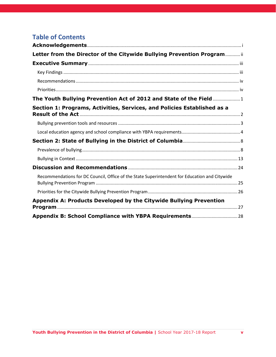| <b>School Name</b>                                | <b>LEA</b>                                        | <b>Provided</b><br><b>Data</b> | <b>Compliant</b><br><b>Policy on</b><br><b>Website</b> <sup>b</sup> | <b>Provided Staff</b><br><b>Training</b> |
|---------------------------------------------------|---------------------------------------------------|--------------------------------|---------------------------------------------------------------------|------------------------------------------|
| Lafayette Elementary School                       | <b>DCPS</b>                                       | No <sup>2</sup>                | No                                                                  | <b>No</b>                                |
| Langdon Elementary School                         | <b>DCPS</b>                                       | Yes                            | <b>No</b>                                                           | Yes                                      |
| Langley Elementary School                         | <b>DCPS</b>                                       | Yes                            | <b>No</b>                                                           | Yes                                      |
| LaSalle-Backus Education Campus                   | <b>DCPS</b>                                       | Yes                            | <b>No</b>                                                           | <b>No</b>                                |
| Latin American Montessori Bilingual<br><b>PCS</b> | Latin American Montessori<br><b>Bilingual PCS</b> | No <sup>2</sup>                | Yes                                                                 | <b>No</b>                                |
| LAYC Career Academy PCS                           | LAYC Career Academy PCS                           | No <sup>2</sup>                | <b>No</b>                                                           | <b>No</b>                                |
| <b>Leckie Education Campus</b>                    | <b>DCPS</b>                                       | Yes                            | <b>No</b>                                                           | Yes <sup>^</sup>                         |
| Lee Montessori PCS                                | Lee Montessori PCS                                | No <sup>2</sup>                | <b>No</b>                                                           | Yes <sup>^</sup>                         |
| Ludlow-Taylor Elementary School                   | <b>DCPS</b>                                       | Yes                            | <b>No</b>                                                           | <b>No</b>                                |
| Luke C. Moore High School                         | <b>DCPS</b>                                       | No <sup>2</sup>                | <b>No</b>                                                           | Yes <sup>^</sup>                         |
| <b>MacFarland Middle School</b>                   | <b>DCPS</b>                                       | Yes                            | Yes                                                                 | <b>No</b>                                |
| Malcolm X Elementary School @<br>Green            | <b>DCPS</b>                                       | Yes                            | <b>No</b>                                                           | <b>No</b>                                |
| Mann Elementary School                            | <b>DCPS</b>                                       | No <sup>2</sup>                | <b>No</b>                                                           | Yes <sup>^</sup>                         |
| Marie Reed Elementary School                      | <b>DCPS</b>                                       | No <sup>1</sup>                | <b>No</b>                                                           | <b>No</b>                                |
| Mary McLeod Bethune Day Academy<br><b>PCS</b>     | Mary McLeod Bethune Day<br><b>Academy PCS</b>     | Yes                            | <b>No</b>                                                           | Yes <sup>^</sup>                         |
| Maury Elementary School                           | <b>DCPS</b>                                       | Yes                            | <b>No</b>                                                           | <b>No</b>                                |
| Maya Angelou PCS - High School                    | Maya Angelou PCS                                  | Yes                            | Yes                                                                 | Yes                                      |
| Maya Angelou PCS - Young Adult<br>Learning Center | Maya Angelou PCS                                  | Yes <sup>3</sup>               | Yes                                                                 | <b>No</b>                                |
| McKinley Middle School                            | <b>DCPS</b>                                       | Yes                            | <b>No</b>                                                           | Yes <sup>^</sup>                         |
| McKinley Technology High School                   | <b>DCPS</b>                                       | Yes                            | <b>No</b>                                                           | Yes <sup>^</sup>                         |
| <b>Meridian PCS</b>                               | <b>Meridian PCS</b>                               | Yes                            | <b>No</b>                                                           | <b>No</b>                                |
| Miner Elementary School                           | <b>DCPS</b>                                       | Yes                            | <b>No</b>                                                           | <b>No</b>                                |
| <b>Monument Academy PCS</b>                       | Monument Academy PCS                              | Yes                            | <b>No</b>                                                           | Yes                                      |
| Moten Elementary School                           | <b>DCPS</b>                                       | Yes                            | <b>No</b>                                                           | Yes                                      |
| Mundo Verde Bilingual PCS                         | Mundo Verde Bilingual PCS                         | Yes                            | Yes                                                                 | <b>No</b>                                |
| Murch Elementary School @ UDC                     | <b>DCPS</b>                                       | Yes                            | <b>No</b>                                                           | <b>No</b>                                |
| Nalle Elementary School                           | <b>DCPS</b>                                       | Yes                            | <b>No</b>                                                           | <b>No</b>                                |

<sup>2</sup>School indicated 0 reported incidents of bullying

<sup>3</sup>School indicated 0 reported incidents of bullying but is a school that primarily serves young adults, early childhood, or online. In such cases, zero reported incidents may be valid. These schools are considered compliant

<sup>b</sup>Schools listed as "No" either: (1) indicated that their policy was not on their website or they did not know, or (2) indicated that the policy was on the website but it either was not found or was not compliant withthe YBPA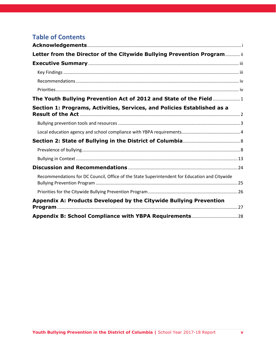| <b>School Name</b>                          | <b>LEA</b>                       | <b>Provided</b><br><b>Data</b> | <b>Compliant</b><br><b>Policy on</b><br><b>Website</b> <sup>b</sup> | <b>Provided Staff</b><br><b>Training</b> |
|---------------------------------------------|----------------------------------|--------------------------------|---------------------------------------------------------------------|------------------------------------------|
|                                             | <b>National Collegiate</b>       |                                |                                                                     |                                          |
| <b>National Collegiate Preparatory PCHS</b> | <b>Preparatory PCHS</b>          | No <sup>2</sup>                | <b>No</b>                                                           | Yes <sup>^</sup>                         |
| <b>Noyes Elementary School</b>              | <b>DCPS</b>                      | Yes                            | <b>No</b>                                                           | <b>No</b>                                |
| <b>Orr Elementary School</b>                | <b>DCPS</b>                      | No <sup>2</sup>                | <b>No</b>                                                           | <b>No</b>                                |
| Oyster-Adams Bilingual School               | <b>DCPS</b>                      | Yes                            | <b>No</b>                                                           | <b>No</b>                                |
| Patterson Elementary School                 | <b>DCPS</b>                      | No <sup>1</sup>                | <b>No</b>                                                           | <b>No</b>                                |
| Paul PCS - International High School        | Paul PCS                         | Yes                            | Yes                                                                 | <b>No</b>                                |
| Paul PCS - Middle School                    | Paul PCS                         | Yes                            | Yes                                                                 | Yes                                      |
| Payne Elementary School                     | <b>DCPS</b>                      | Yes                            | <b>No</b>                                                           | <b>No</b>                                |
| Peabody Elementary School (Capitol          | <b>DCPS</b>                      | No <sup>1</sup>                |                                                                     |                                          |
| Hill Cluster)                               | Perry Street Preparatory         |                                | <b>No</b>                                                           | <b>No</b>                                |
| Perry Street Preparatory PCS                | <b>PCS</b>                       | Yes                            | Yes                                                                 | Yes                                      |
| Phelps Architecture, Construction           |                                  |                                |                                                                     |                                          |
| and Engineering High School                 | <b>DCPS</b>                      | Yes                            | <b>No</b>                                                           | Yes <sup>^</sup>                         |
| <b>Plummer Elementary School</b>            | <b>DCPS</b>                      | Yes                            | <b>No</b>                                                           | <b>No</b>                                |
| Powell Elementary School                    | <b>DCPS</b>                      | Yes                            | <b>No</b>                                                           | <b>No</b>                                |
| Randle Highlands Elementary School          | <b>DCPS</b>                      | Yes                            | Yes                                                                 | Yes                                      |
| <b>Raymond Education Campus</b>             | <b>DCPS</b>                      | Yes                            | <b>No</b>                                                           | Yes                                      |
| Richard Wright PCS for Journalism           | <b>Richard Wright PCS for</b>    |                                |                                                                     |                                          |
| and Media Arts                              | Journalism and Media Arts        | Yes                            | <b>No</b>                                                           | Yes                                      |
| <b>River Terrace Education Campus</b>       | <b>DCPS</b>                      | No <sup>2</sup>                | <b>No</b>                                                           | <b>No</b>                                |
|                                             | Rocketship DC PCS - Legacy       |                                |                                                                     |                                          |
| Rocketship DC PCS - Legacy Prep             | Prep<br>Rocketship DC PCS - Rise | No <sup>2</sup>                | <b>No</b>                                                           | <b>No</b>                                |
| Rocketship DC PCS - Rise Academy            | Academy                          | No <sup>2</sup>                | <b>No</b>                                                           | <b>No</b>                                |
| Ron Brown College Preparatory High          |                                  |                                |                                                                     |                                          |
| School                                      | <b>DCPS</b>                      | Yes                            | <b>No</b>                                                           | Yes                                      |
| Roosevelt High School                       | <b>DCPS</b>                      | Yes                            | <b>No</b>                                                           | <b>No</b>                                |
| Roosevelt STAY High School                  | <b>DCPS</b>                      | Yes                            | <b>No</b>                                                           | <b>No</b>                                |
| Roots PCS                                   | Roots PCS                        | No <sup>2</sup>                | <b>No</b>                                                           | Yes <sup>^</sup>                         |
| Ross Elementary School                      | <b>DCPS</b>                      | No <sup>2</sup>                | <b>No</b>                                                           | <b>No</b>                                |

<sup>2</sup>School indicated 0 reported incidents of bullying

<sup>3</sup>School indicated 0 reported incidents of bullying but is a school that primarily serves young adults, early childhood, or online. In such cases, zero reported incidents may be valid. These schools are considered compliant

<sup>b</sup>Schools listed as "No" either: (1) indicated that their policy was not on their website or they did not know, or (2) indicated that the policy was on the website but it either was not found or was not compliant withthe YBPA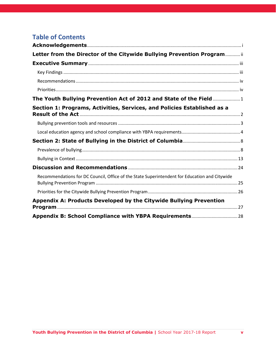| <b>School Name</b>                                    | <b>LEA</b>                                            | <b>Provided</b><br><b>Data</b> | <b>Compliant</b><br><b>Policy on</b><br><b>Website</b> <sup>b</sup> | <b>Provided Staff</b><br><b>Training</b> |
|-------------------------------------------------------|-------------------------------------------------------|--------------------------------|---------------------------------------------------------------------|------------------------------------------|
| Savoy Elementary School                               | <b>DCPS</b>                                           | Yes                            | <b>No</b>                                                           | <b>No</b>                                |
| School Without Walls @ Francis-                       |                                                       |                                |                                                                     |                                          |
| Stevens                                               | <b>DCPS</b>                                           | Yes                            | <b>No</b>                                                           | Yes <sup>^</sup>                         |
| School Without Walls High School                      | <b>DCPS</b>                                           | Yes                            | <b>No</b>                                                           | Yes <sup>^</sup>                         |
| School-Within-School @ Goding                         | <b>DCPS</b>                                           | Yes                            | <b>No</b>                                                           | Yes <sup>^</sup>                         |
| Seaton Elementary School                              | <b>DCPS</b>                                           | Yes                            | <b>No</b>                                                           | <b>No</b>                                |
| SEED PCS of Washington DC                             | SEED PCS of Washington<br>DC                          | No <sup>2</sup>                | <b>Yes</b>                                                          | Yes                                      |
| Sela PCS                                              | Sela PCS                                              | Yes <sup>3</sup>               | <b>No</b>                                                           | Yes                                      |
| Shepherd Elementary School                            | <b>DCPS</b>                                           | Yes                            | <b>No</b>                                                           | Yes <sup>^</sup>                         |
| Shining Stars Montessori Academy<br><b>PCS</b>        | <b>Shining Stars Montessori</b><br><b>Academy PCS</b> | Yes                            | Yes                                                                 | <b>No</b>                                |
| Simon Elementary School                               | <b>DCPS</b>                                           | Yes                            | <b>No</b>                                                           | Yes                                      |
| <b>Smothers Elementary School</b>                     | <b>DCPS</b>                                           | Yes                            | <b>No</b>                                                           | Yes <sup>^</sup>                         |
| Somerset Preparatory Academy PCS                      | <b>Somerset Preparatory</b><br><b>Academy PCS</b>     | No <sup>2</sup>                | <b>No</b>                                                           | <b>No</b>                                |
| Sousa Middle School                                   | <b>DCPS</b>                                           | Yes                            | <b>No</b>                                                           | No                                       |
|                                                       | St. Coletta Special                                   |                                |                                                                     |                                          |
| St. Coletta Special Education PCS                     | <b>Education PCS</b>                                  | Yes                            | <b>No</b>                                                           | <b>No</b>                                |
| <b>Stanton Elementary School</b>                      | <b>DCPS</b>                                           | Yes                            | <b>No</b>                                                           | <b>No</b>                                |
| <b>Stoddert Elementary School</b>                     | <b>DCPS</b>                                           | Yes                            | Yes                                                                 | <b>No</b>                                |
| Stuart-Hobson Middle School (Capitol<br>Hill Cluster) | <b>DCPS</b>                                           | Yes                            | <b>No</b>                                                           | Yes <sup>^</sup>                         |
| <b>Sustainable Futures PCS</b>                        | <b>Sustainable Futures PCS</b>                        | No <sup>1</sup>                | <b>No</b>                                                           | <b>No</b>                                |
| <b>Takoma Education Campus</b>                        | <b>DCPS</b>                                           | No <sup>2</sup>                | Yes                                                                 | Yes <sup>^</sup>                         |
| The Children's Guild PCS                              | The Children's Guild PCS                              | Yes                            | Yes                                                                 | <b>No</b>                                |
| The Next Step El Proximo Paso PCS                     | The Next Step El Proximo<br>Paso PCS                  | Yes                            | <b>No</b>                                                           | <b>No</b>                                |
| <b>Thomas Elementary School</b>                       | <b>DCPS</b>                                           | Yes                            | <b>No</b>                                                           | <b>No</b>                                |
| Thomson Elementary School                             | <b>DCPS</b>                                           | Yes                            | <b>No</b>                                                           | Yes <sup>^</sup>                         |
| Thurgood Marshall Academy PCS                         | <b>Thurgood Marshall</b><br><b>Academy PCS</b>        | Yes                            | Yes                                                                 | Yes <sup>^</sup>                         |

<sup>2</sup>School indicated 0 reported incidents of bullying

<sup>3</sup>School indicated 0 reported incidents of bullying but is a school that primarily serves young adults, early childhood, or online. In such cases, zero reported incidents may be valid. These schools are considered compliant

<sup>b</sup>Schools listed as "No" either: (1) indicated that their policy was not on their website or they did not know, or (2) indicated that the policy was on the website but it either was not found or was not compliant withthe YBPA